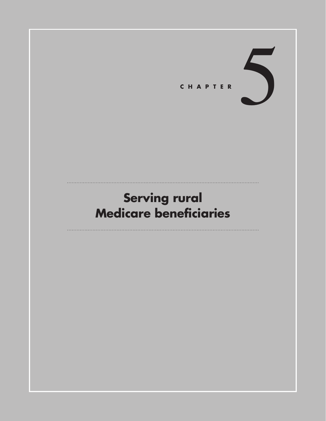

# **Serving rural Medicare beneficiaries**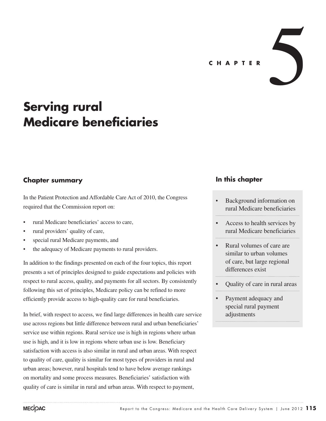

# **Serving rural Medicare beneficiaries**

# **Chapter summary**

In the Patient Protection and Affordable Care Act of 2010, the Congress required that the Commission report on:

- rural Medicare beneficiaries' access to care,
- rural providers' quality of care,
- special rural Medicare payments, and
- the adequacy of Medicare payments to rural providers.

In addition to the findings presented on each of the four topics, this report presents a set of principles designed to guide expectations and policies with respect to rural access, quality, and payments for all sectors. By consistently following this set of principles, Medicare policy can be refined to more efficiently provide access to high-quality care for rural beneficiaries.

In brief, with respect to access, we find large differences in health care service use across regions but little difference between rural and urban beneficiaries' service use within regions. Rural service use is high in regions where urban use is high, and it is low in regions where urban use is low. Beneficiary satisfaction with access is also similar in rural and urban areas. With respect to quality of care, quality is similar for most types of providers in rural and urban areas; however, rural hospitals tend to have below average rankings on mortality and some process measures. Beneficiaries' satisfaction with quality of care is similar in rural and urban areas. With respect to payment,

### **In this chapter**

- Background information on rural Medicare beneficiaries
- Access to health services by rural Medicare beneficiaries
- Rural volumes of care are similar to urban volumes of care, but large regional differences exist
- **Ouality of care in rural areas**
- Payment adequacy and special rural payment adjustments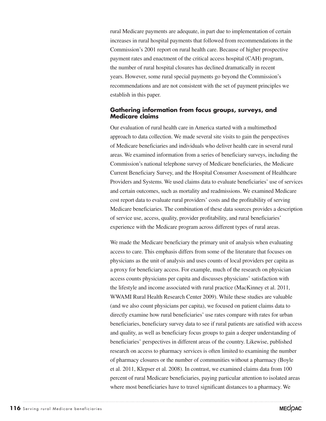rural Medicare payments are adequate, in part due to implementation of certain increases in rural hospital payments that followed from recommendations in the Commission's 2001 report on rural health care. Because of higher prospective payment rates and enactment of the critical access hospital (CAH) program, the number of rural hospital closures has declined dramatically in recent years. However, some rural special payments go beyond the Commission's recommendations and are not consistent with the set of payment principles we establish in this paper.

### **Gathering information from focus groups, surveys, and Medicare claims**

Our evaluation of rural health care in America started with a multimethod approach to data collection. We made several site visits to gain the perspectives of Medicare beneficiaries and individuals who deliver health care in several rural areas. We examined information from a series of beneficiary surveys, including the Commission's national telephone survey of Medicare beneficiaries, the Medicare Current Beneficiary Survey, and the Hospital Consumer Assessment of Healthcare Providers and Systems. We used claims data to evaluate beneficiaries' use of services and certain outcomes, such as mortality and readmissions. We examined Medicare cost report data to evaluate rural providers' costs and the profitability of serving Medicare beneficiaries. The combination of these data sources provides a description of service use, access, quality, provider profitability, and rural beneficiaries' experience with the Medicare program across different types of rural areas.

We made the Medicare beneficiary the primary unit of analysis when evaluating access to care. This emphasis differs from some of the literature that focuses on physicians as the unit of analysis and uses counts of local providers per capita as a proxy for beneficiary access. For example, much of the research on physician access counts physicians per capita and discusses physicians' satisfaction with the lifestyle and income associated with rural practice (MacKinney et al. 2011, WWAMI Rural Health Research Center 2009). While these studies are valuable (and we also count physicians per capita), we focused on patient claims data to directly examine how rural beneficiaries' use rates compare with rates for urban beneficiaries, beneficiary survey data to see if rural patients are satisfied with access and quality, as well as beneficiary focus groups to gain a deeper understanding of beneficiaries' perspectives in different areas of the country. Likewise, published research on access to pharmacy services is often limited to examining the number of pharmacy closures or the number of communities without a pharmacy (Boyle et al. 2011, Klepser et al. 2008). In contrast, we examined claims data from 100 percent of rural Medicare beneficiaries, paying particular attention to isolated areas where most beneficiaries have to travel significant distances to a pharmacy. We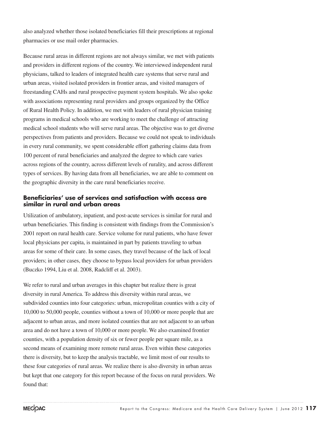also analyzed whether those isolated beneficiaries fill their prescriptions at regional pharmacies or use mail order pharmacies.

Because rural areas in different regions are not always similar, we met with patients and providers in different regions of the country. We interviewed independent rural physicians, talked to leaders of integrated health care systems that serve rural and urban areas, visited isolated providers in frontier areas, and visited managers of freestanding CAHs and rural prospective payment system hospitals. We also spoke with associations representing rural providers and groups organized by the Office of Rural Health Policy. In addition, we met with leaders of rural physician training programs in medical schools who are working to meet the challenge of attracting medical school students who will serve rural areas. The objective was to get diverse perspectives from patients and providers. Because we could not speak to individuals in every rural community, we spent considerable effort gathering claims data from 100 percent of rural beneficiaries and analyzed the degree to which care varies across regions of the country, across different levels of rurality, and across different types of services. By having data from all beneficiaries, we are able to comment on the geographic diversity in the care rural beneficiaries receive.

### **Beneficiaries' use of services and satisfaction with access are similar in rural and urban areas**

Utilization of ambulatory, inpatient, and post-acute services is similar for rural and urban beneficiaries. This finding is consistent with findings from the Commission's 2001 report on rural health care. Service volume for rural patients, who have fewer local physicians per capita, is maintained in part by patients traveling to urban areas for some of their care. In some cases, they travel because of the lack of local providers; in other cases, they choose to bypass local providers for urban providers (Buczko 1994, Liu et al. 2008, Radcliff et al. 2003).

We refer to rural and urban averages in this chapter but realize there is great diversity in rural America. To address this diversity within rural areas, we subdivided counties into four categories: urban, micropolitan counties with a city of 10,000 to 50,000 people, counties without a town of 10,000 or more people that are adjacent to urban areas, and more isolated counties that are not adjacent to an urban area and do not have a town of 10,000 or more people. We also examined frontier counties, with a population density of six or fewer people per square mile, as a second means of examining more remote rural areas. Even within these categories there is diversity, but to keep the analysis tractable, we limit most of our results to these four categories of rural areas. We realize there is also diversity in urban areas but kept that one category for this report because of the focus on rural providers. We found that: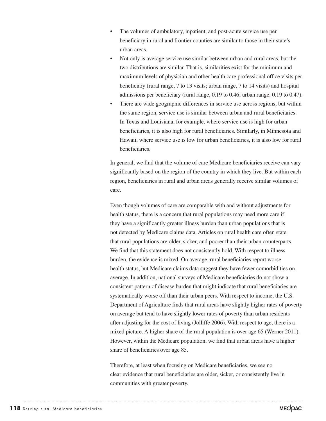- The volumes of ambulatory, inpatient, and post-acute service use per beneficiary in rural and frontier counties are similar to those in their state's urban areas.
- Not only is average service use similar between urban and rural areas, but the two distributions are similar. That is, similarities exist for the minimum and maximum levels of physician and other health care professional office visits per beneficiary (rural range, 7 to 13 visits; urban range, 7 to 14 visits) and hospital admissions per beneficiary (rural range, 0.19 to 0.46; urban range, 0.19 to 0.47).
- There are wide geographic differences in service use across regions, but within the same region, service use is similar between urban and rural beneficiaries. In Texas and Louisiana, for example, where service use is high for urban beneficiaries, it is also high for rural beneficiaries. Similarly, in Minnesota and Hawaii, where service use is low for urban beneficiaries, it is also low for rural beneficiaries.

In general, we find that the volume of care Medicare beneficiaries receive can vary significantly based on the region of the country in which they live. But within each region, beneficiaries in rural and urban areas generally receive similar volumes of care.

Even though volumes of care are comparable with and without adjustments for health status, there is a concern that rural populations may need more care if they have a significantly greater illness burden than urban populations that is not detected by Medicare claims data. Articles on rural health care often state that rural populations are older, sicker, and poorer than their urban counterparts. We find that this statement does not consistently hold. With respect to illness burden, the evidence is mixed. On average, rural beneficiaries report worse health status, but Medicare claims data suggest they have fewer comorbidities on average. In addition, national surveys of Medicare beneficiaries do not show a consistent pattern of disease burden that might indicate that rural beneficiaries are systematically worse off than their urban peers. With respect to income, the U.S. Department of Agriculture finds that rural areas have slightly higher rates of poverty on average but tend to have slightly lower rates of poverty than urban residents after adjusting for the cost of living (Jolliffe 2006). With respect to age, there is a mixed picture. A higher share of the rural population is over age 65 (Werner 2011). However, within the Medicare population, we find that urban areas have a higher share of beneficiaries over age 85.

Therefore, at least when focusing on Medicare beneficiaries, we see no clear evidence that rural beneficiaries are older, sicker, or consistently live in communities with greater poverty.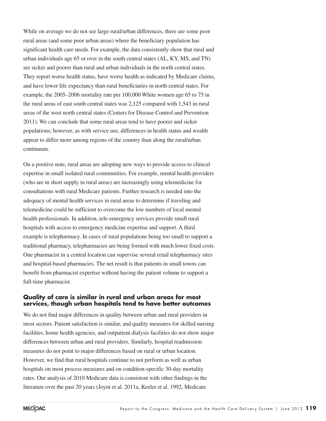While on average we do not see large rural/urban differences, there are some poor rural areas (and some poor urban areas) where the beneficiary population has significant health care needs. For example, the data consistently show that rural and urban individuals age 65 or over in the south central states (AL, KY, MS, and TN) are sicker and poorer than rural and urban individuals in the north central states. They report worse health status, have worse health as indicated by Medicare claims, and have lower life expectancy than rural beneficiaries in north central states. For example, the 2005–2006 mortality rate per 100,000 White women age 65 to 75 in the rural areas of east south central states was 2,125 compared with 1,543 in rural areas of the west north central states (Centers for Disease Control and Prevention 2011). We can conclude that some rural areas tend to have poorer and sicker populations; however, as with service use, differences in health status and wealth appear to differ more among regions of the country than along the rural/urban continuum.

On a positive note, rural areas are adopting new ways to provide access to clinical expertise in small isolated rural communities. For example, mental health providers (who are in short supply in rural areas) are increasingly using telemedicine for consultations with rural Medicare patients. Further research is needed into the adequacy of mental health services in rural areas to determine if traveling and telemedicine could be sufficient to overcome the low numbers of local mental health professionals. In addition, tele-emergency services provide small rural hospitals with access to emergency medicine expertise and support. A third example is telepharmacy. In cases of rural populations being too small to support a traditional pharmacy, telepharmacies are being formed with much lower fixed costs. One pharmacist in a central location can supervise several retail telepharmacy sites and hospital-based pharmacies. The net result is that patients in small towns can benefit from pharmacist expertise without having the patient volume to support a full-time pharmacist.

### **Quality of care is similar in rural and urban areas for most services, though urban hospitals tend to have better outcomes**

We do not find major differences in quality between urban and rural providers in most sectors. Patient satisfaction is similar, and quality measures for skilled nursing facilities, home health agencies, and outpatient dialysis facilities do not show major differences between urban and rural providers. Similarly, hospital readmission measures do not point to major differences based on rural or urban location. However, we find that rural hospitals continue to not perform as well as urban hospitals on most process measures and on condition-specific 30-day mortality rates. Our analysis of 2010 Medicare data is consistent with other findings in the literature over the past 20 years (Joynt et al. 2011a, Keeler et al. 1992, Medicare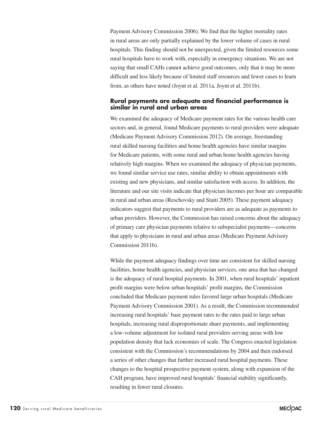Payment Advisory Commission 2006). We find that the higher mortality rates in rural areas are only partially explained by the lower volume of cases in rural hospitals. This finding should not be unexpected, given the limited resources some rural hospitals have to work with, especially in emergency situations. We are not saying that small CAHs cannot achieve good outcomes, only that it may be more difficult and less likely because of limited staff resources and fewer cases to learn from, as others have noted (Joynt et al. 2011a, Joynt et al. 2011b).

### **Rural payments are adequate and financial performance is similar in rural and urban areas**

We examined the adequacy of Medicare payment rates for the various health care sectors and, in general, found Medicare payments to rural providers were adequate (Medicare Payment Advisory Commission 2012). On average, freestanding rural skilled nursing facilities and home health agencies have similar margins for Medicare patients, with some rural and urban home health agencies having relatively high margins. When we examined the adequacy of physician payments, we found similar service use rates, similar ability to obtain appointments with existing and new physicians, and similar satisfaction with access. In addition, the literature and our site visits indicate that physician incomes per hour are comparable in rural and urban areas (Reschovsky and Staiti 2005). These payment adequacy indicators suggest that payments to rural providers are as adequate as payments to urban providers. However, the Commission has raised concerns about the adequacy of primary care physician payments relative to subspecialist payments—concerns that apply to physicians in rural and urban areas (Medicare Payment Advisory Commission 2011b).

While the payment adequacy findings over time are consistent for skilled nursing facilities, home health agencies, and physician services, one area that has changed is the adequacy of rural hospital payments. In 2001, when rural hospitals' inpatient profit margins were below urban hospitals' profit margins, the Commission concluded that Medicare payment rules favored large urban hospitals (Medicare Payment Advisory Commission 2001). As a result, the Commission recommended increasing rural hospitals' base payment rates to the rates paid to large urban hospitals, increasing rural disproportionate share payments, and implementing a low-volume adjustment for isolated rural providers serving areas with low population density that lack economies of scale. The Congress enacted legislation consistent with the Commission's recommendations by 2004 and then endorsed a series of other changes that further increased rural hospital payments. These changes to the hospital prospective payment system, along with expansion of the CAH program, have improved rural hospitals' financial stability significantly, resulting in fewer rural closures.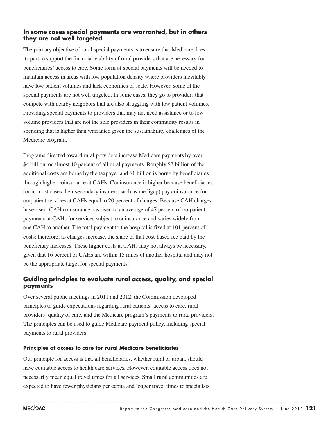### **In some cases special payments are warranted, but in others they are not well targeted**

The primary objective of rural special payments is to ensure that Medicare does its part to support the financial viability of rural providers that are necessary for beneficiaries' access to care. Some form of special payments will be needed to maintain access in areas with low population density where providers inevitably have low patient volumes and lack economies of scale. However, some of the special payments are not well targeted. In some cases, they go to providers that compete with nearby neighbors that are also struggling with low patient volumes. Providing special payments to providers that may not need assistance or to lowvolume providers that are not the sole providers in their community results in spending that is higher than warranted given the sustainability challenges of the Medicare program.

Programs directed toward rural providers increase Medicare payments by over \$4 billion, or almost 10 percent of all rural payments. Roughly \$3 billion of the additional costs are borne by the taxpayer and \$1 billion is borne by beneficiaries through higher coinsurance at CAHs. Coninsurance is higher because beneficiaries (or in most cases their secondary insurers, such as medigap) pay coinsurance for outpatient services at CAHs equal to 20 percent of charges. Because CAH charges have risen, CAH coinsurance has risen to an average of 47 percent of outpatient payments at CAHs for services subject to coinsurance and varies widely from one CAH to another. The total payment to the hospital is fixed at 101 percent of costs; therefore, as charges increase, the share of that cost-based fee paid by the beneficiary increases. These higher costs at CAHs may not always be necessary, given that 16 percent of CAHs are within 15 miles of another hospital and may not be the appropriate target for special payments.

### **Guiding principles to evaluate rural access, quality, and special payments**

Over several public meetings in 2011 and 2012, the Commission developed principles to guide expectations regarding rural patients' access to care, rural providers' quality of care, and the Medicare program's payments to rural providers. The principles can be used to guide Medicare payment policy, including special payments to rural providers.

### **Principles of access to care for rural Medicare beneficiaries**

Our principle for access is that all beneficiaries, whether rural or urban, should have equitable access to health care services. However, equitable access does not necessarily mean equal travel times for all services. Small rural communities are expected to have fewer physicians per capita and longer travel times to specialists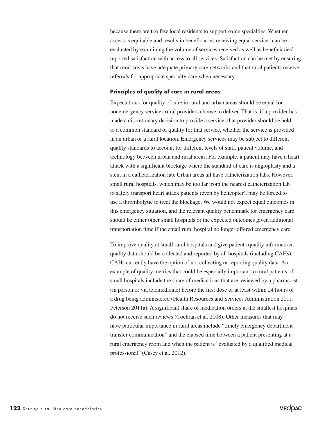because there are too few local residents to support some specialties. Whether access is equitable and results in beneficiaries receiving equal services can be evaluated by examining the volume of services received as well as beneficiaries' reported satisfaction with access to all services. Satisfaction can be met by ensuring that rural areas have adequate primary care networks and that rural patients receive referrals for appropriate specialty care when necessary.

#### **Principles of quality of care in rural areas**

Expectations for quality of care in rural and urban areas should be equal for nonemergency services rural providers choose to deliver. That is, if a provider has made a discretionary decision to provide a service, that provider should be held to a common standard of quality for that service, whether the service is provided in an urban or a rural location. Emergency services may be subject to different quality standards to account for different levels of staff, patient volume, and technology between urban and rural areas. For example, a patient may have a heart attack with a significant blockage where the standard of care is angioplasty and a stent in a catheterization lab. Urban areas all have catheterization labs. However, small rural hospitals, which may be too far from the nearest catheterization lab to safely transport heart attack patients (even by helicopter), may be forced to use a thrombolytic to treat the blockage. We would not expect equal outcomes in this emergency situation, and the relevant quality benchmark for emergency care should be either other small hospitals or the expected outcomes given additional transportation time if the small rural hospital no longer offered emergency care.

To improve quality at small rural hospitals and give patients quality information, quality data should be collected and reported by all hospitals (including CAHs). CAHs currently have the option of not collecting or reporting quality data. An example of quality metrics that could be especially important to rural patients of small hospitals include the share of medications that are reviewed by a pharmacist (in person or via telemedicine) before the first dose or at least within 24 hours of a drug being administered (Health Resources and Services Administration 2011, Peterson 2011a). A significant share of medication orders at the smallest hospitals do not receive such reviews (Cochran et al. 2008). Other measures that may have particular importance in rural areas include "timely emergency department transfer communication" and the elapsed time between a patient presenting at a rural emergency room and when the patient is "evaluated by a qualified medical professional" (Casey et al. 2012).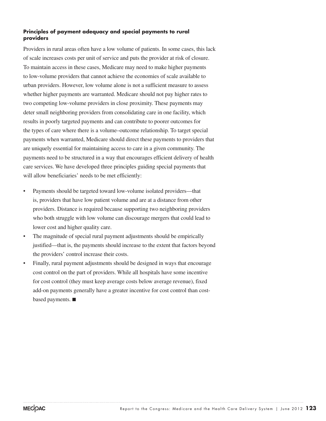### **Principles of payment adequacy and special payments to rural providers**

Providers in rural areas often have a low volume of patients. In some cases, this lack of scale increases costs per unit of service and puts the provider at risk of closure. To maintain access in these cases, Medicare may need to make higher payments to low-volume providers that cannot achieve the economies of scale available to urban providers. However, low volume alone is not a sufficient measure to assess whether higher payments are warranted. Medicare should not pay higher rates to two competing low-volume providers in close proximity. These payments may deter small neighboring providers from consolidating care in one facility, which results in poorly targeted payments and can contribute to poorer outcomes for the types of care where there is a volume–outcome relationship. To target special payments when warranted, Medicare should direct these payments to providers that are uniquely essential for maintaining access to care in a given community. The payments need to be structured in a way that encourages efficient delivery of health care services. We have developed three principles guiding special payments that will allow beneficiaries' needs to be met efficiently:

- Payments should be targeted toward low-volume isolated providers—that is, providers that have low patient volume and are at a distance from other providers. Distance is required because supporting two neighboring providers who both struggle with low volume can discourage mergers that could lead to lower cost and higher quality care.
- The magnitude of special rural payment adjustments should be empirically justified—that is, the payments should increase to the extent that factors beyond the providers' control increase their costs.
- Finally, rural payment adjustments should be designed in ways that encourage cost control on the part of providers. While all hospitals have some incentive for cost control (they must keep average costs below average revenue), fixed add-on payments generally have a greater incentive for cost control than costbased payments. ■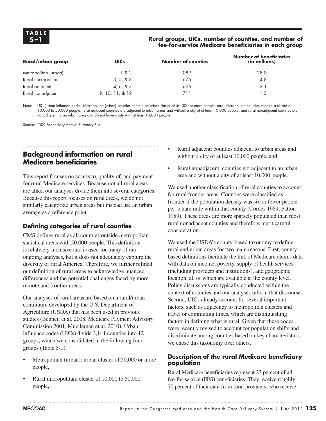### **5–1 Rural groups, UICs, number of counties, and number of fee-for-service Medicare beneficiaries in each group**

| Rural/urban group    | <b>UICs</b>      | <b>Number of counties</b> | <b>Number of beneficiaries</b><br>(in millions) |
|----------------------|------------------|---------------------------|-------------------------------------------------|
| Metropolitan (urban) | 1 & 2            | .089                      | 28.0                                            |
| Rural micropolitan   | 3, 5, 8, 8       | 675                       | 4.8                                             |
| Rural adjacent       | 4, 6, 8, 7       | 666                       |                                                 |
| Rural nonadjacent    | 9, 10, 11, 8, 12 |                           | .5                                              |

Note: UIC (urban influence code). Metropolitan (urban) counties contain an urban cluster of 50,000 or more people, rural micropolitan counties contain a cluster of 10,000 to 50,000 people, rural adjacent counties are adjacent to urban areas and without a city of at least 10,000 people, and rural nonadjacent counties are not adjacent to an urban area and do not have a city with at least 10,000 people.

Source: 2009 Beneficiary Annual Summary File.

# **Background information on rural Medicare beneficiaries**

This report focuses on access to, quality of, and payment for rural Medicare services. Because not all rural areas are alike, our analyses divide them into several categories. Because this report focuses on rural areas, we do not similarly categorize urban areas but instead use an urban average as a reference point.

# **Defining categories of rural counties**

CMS defines rural as all counties outside metropolitan statistical areas with 50,000 people. This definition is relatively inclusive and is used for many of our ongoing analyses, but it does not adequately capture the diversity of rural America. Therefore, we further refined our definition of rural areas to acknowledge nuanced differences and the potential challenges faced by more remote and frontier areas.

Our analyses of rural areas are based on a rural/urban continuum developed by the U.S. Department of Agriculture (USDA) that has been used in previous studies (Bennett et al. 2008, Medicare Payment Advisory Commission 2001, Muelleman et al. 2010). Urban influence codes (UICs) divide 3,141 counties into 12 groups, which we consolidated in the following four groups (Table 5-1):

- Metropolitan (urban): urban cluster of 50,000 or more people,
- Rural micropolitan: cluster of 10,000 to 50,000 people,
- Rural adjacent: counties adjacent to urban areas and without a city of at least 10,000 people, and
- Rural nonadjacent: counties not adjacent to an urban area and without a city of at least 10,000 people.

We used another classification of rural counties to account for rural frontier areas. Counties were classified as frontier if the population density was six or fewer people per square mile within that county (Cordes 1989, Patton 1989). These areas are more sparsely populated than most rural nonadjacent counties and therefore merit careful consideration.

We used the USDA's county-based taxonomy to define rural and urban areas for two main reasons. First, countybased definitions facilitate the link of Medicare claims data with data on income, poverty, supply of health services (including providers and institutions), and geographic location, all of which are available at the county level. Policy discussions are typically conducted within the context of counties and our analyses inform that discourse. Second, UICs already account for several important factors, such as adjacency to metropolitan clusters and travel or commuting times, which are distinguishing factors in defining what is rural. Given that these codes were recently revised to account for population shifts and discriminate among counties based on key characteristics, we chose this taxonomy over others.

### **Description of the rural Medicare beneficiary population**

Rural Medicare beneficiaries represent 23 percent of all fee-for-service (FFS) beneficiaries. They receive roughly 70 percent of their care from rural providers, who receive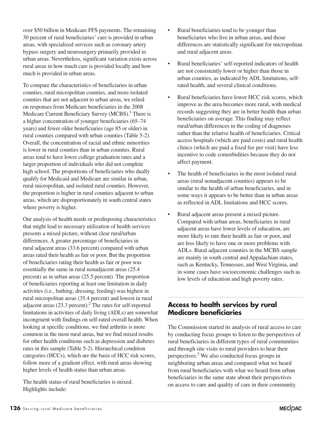over \$50 billion in Medicare FFS payments. The remaining 30 percent of rural beneficiaries' care is provided in urban areas, with specialized services such as coronary artery bypass surgery and neurosurgery primarily provided in urban areas. Nevertheless, significant variation exists across rural areas in how much care is provided locally and how much is provided in urban areas.

To compare the characteristics of beneficiaries in urban counties, rural micropolitan counties, and more isolated counties that are not adjacent to urban areas, we relied on responses from Medicare beneficiaries in the 2008 Medicare Current Beneficiary Survey (MCBS).<sup>1</sup> There is a higher concentration of younger beneficiaries (65–74 years) and fewer older beneficiaries (age 85 or older) in rural counties compared with urban counties (Table 5-2). Overall, the concentration of racial and ethnic minorities is lower in rural counties than in urban counties. Rural areas tend to have lower college graduation rates and a larger proportion of individuals who did not complete high school. The proportions of beneficiaries who dually qualify for Medicaid and Medicare are similar in urban, rural micropolitan, and isolated rural counties. However, the proportion is higher in rural counties adjacent to urban areas, which are disproportionately in south central states where poverty is higher.

Our analysis of health needs or predisposing characteristics that might lead to necessary utilization of health services presents a mixed picture, without clear rural/urban differences. A greater percentage of beneficiaries in rural adjacent areas (33.6 percent) compared with urban areas rated their health as fair or poor. But the proportion of beneficiaries rating their health as fair or poor was essentially the same in rural nonadjacent areas (25.4 percent) as in urban areas (25.5 percent). The proportion of beneficiaries reporting at least one limitation in daily activities (i.e., bathing, dressing, feeding) was highest in rural micropolitan areas (35.4 percent) and lowest in rural adjacent areas  $(23.3 \text{ percent.})^2$  The rates for self-reported limitations in activities of daily living (ADLs) are somewhat incongruent with findings on self-rated overall health. When looking at specific conditions, we find arthritis is more common in the most rural areas, but we find mixed results for other health conditions such as depression and diabetes rates in this sample (Table 5-2). Hierarchical condition categories (HCCs), which are the basis of HCC risk scores, follow more of a gradient effect, with rural areas showing higher levels of health status than urban areas.

The health status of rural beneficiaries is mixed. Highlights include:

- Rural beneficiaries tend to be younger than beneficiaries who live in urban areas, and those differences are statistically significant for micropolitan and rural adjacent areas.
- Rural beneficiaries' self-reported indicators of health are not consistently lower or higher than those in urban counties, as indicated by ADL limitations, selfrated health, and several clinical conditions.
- Rural beneficiaries have lower HCC risk scores, which improve as the area becomes more rural, with medical records suggesting they are in better health than urban beneficiaries on average. This finding may reflect rural/urban differences in the coding of diagnoses rather than the relative health of beneficiaries. Critical access hospitals (which are paid costs) and rural health clinics (which are paid a fixed fee per visit) have less incentive to code comorbidities because they do not affect payment.
- The health of beneficiaries in the most isolated rural areas (rural nonadjacent counties) appears to be similar to the health of urban beneficiaries, and in some ways it appears to be better than in urban areas as reflected in ADL limitations and HCC scores.
- Rural adjacent areas present a mixed picture. Compared with urban areas, beneficiaries in rural adjacent areas have lower levels of education, are more likely to rate their health as fair or poor, and are less likely to have one or more problems with ADLs. Rural adjacent counties in the MCBS sample are mainly in south central and Appalachian states, such as Kentucky, Tennessee, and West Virginia, and in some cases have socioeconomic challenges such as low levels of education and high poverty rates.

# **Access to health services by rural Medicare beneficiaries**

The Commission started its analysis of rural access to care by conducting focus groups to listen to the perspectives of rural beneficiaries in different types of rural communities and through site visits to rural providers to hear their perspectives.<sup>3</sup> We also conducted focus groups in neighboring urban areas and compared what we heard from rural beneficiaries with what we heard from urban beneficiaries in the same state about their perspectives on access to care and quality of care in their community.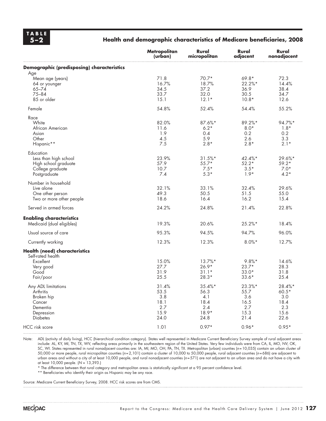# **TA B L E**

### **5–2 Health and demographic characteristics of Medicare beneficiaries, 2008**

|                                            | Metropolitan<br>(urban) | Rural<br>micropolitan | Rural<br>adjacent | Rural<br>nonadjacent |
|--------------------------------------------|-------------------------|-----------------------|-------------------|----------------------|
| Demographic (predisposing) characteristics |                         |                       |                   |                      |
| Age                                        |                         |                       |                   |                      |
| Mean age (years)                           | 71.8                    | $70.7*$               | $69.8*$           | 72.3                 |
| 64 or younger                              | 16.7%                   | 18.7%                 | 22.2%*            | 14.4%                |
| $65 - 74$                                  | 34.5                    | 37.2                  | 36.9              | 38.4                 |
|                                            |                         |                       |                   |                      |
| $75 - 84$                                  | 33.7                    | 32.0                  | 30.5              | 34.7                 |
| 85 or older                                | 15.1                    | $12.1*$               | $10.8*$           | 12.6                 |
| Female                                     | 54.8%                   | 52.4%                 | 54.4%             | 55.2%                |
| Race                                       |                         |                       |                   |                      |
| White                                      | 82.0%                   | 87.6%*                | 89.2%*            | 94.7%*               |
| African American                           | 11.6                    | $6.2*$                | $8.0*$            | $1.8*$               |
|                                            | 1.9                     | 0.4                   | 0.2               | 0.2                  |
| Asian                                      |                         |                       |                   |                      |
| Other                                      | 4.5                     | 5.9                   | 2.6               | 3.3                  |
| Hispanic**                                 | 7.5                     | $2.8*$                | $2.8*$            | $2.1*$               |
| Education                                  |                         |                       |                   |                      |
| Less than high school                      | 23.9%                   | $31.5%$ *             | $42.4%$ *         | 29.6%*               |
| High school graduate                       | 57.9                    | $55.7*$               | $52.2*$           | $59.2*$              |
| College graduate                           | 10.7                    | $7.5*$                | $3.5*$            | $7.0*$               |
| Postgraduate                               | 7.4                     | $5.3*$                | $1.9*$            | $4.2*$               |
|                                            |                         |                       |                   |                      |
| Number in household                        |                         |                       |                   |                      |
| Live alone                                 | 32.1%                   | 33.1%                 | 32.4%             | 29.6%                |
| One other person                           | 49.3                    | 50.5                  | 51.5              | 55.0                 |
| Two or more other people                   | 18.6                    | 16.4                  | 16.2              | 15.4                 |
|                                            |                         |                       |                   |                      |
| Served in armed forces                     | 24.2%                   | 24.8%                 | 21.4%             | 22.8%                |
| <b>Enabling characteristics</b>            |                         |                       |                   |                      |
| Medicaid (dual eligibles)                  | 19.3%                   | 20.6%                 | 25.2%*            | 18.4%                |
|                                            |                         |                       |                   |                      |
| Usual source of care                       | 95.3%                   | 94.5%                 | 94.7%             | 96.0%                |
| Currently working                          | 12.3%                   | 12.3%                 | $8.0\%$ *         | 12.7%                |
| Health (need) characteristics              |                         |                       |                   |                      |
| Self-rated health                          |                         |                       |                   |                      |
| Excellent                                  | 15.0%                   | $13.7\%$ *            | $9.8%$ *          | 14.6%                |
| Very good                                  | 27.7                    | $26.9*$               | $23.7*$           | 28.3                 |
| Good                                       | 31.9                    | $31.1*$               | $33.0*$           | 31.8                 |
|                                            | 25.5                    | $28.3*$               | $33.6*$           | 25.4                 |
| Fair/poor                                  |                         |                       |                   |                      |
| Any ADL limitations                        | 31.4%                   | 35.4%*                | 23.3%*            | 28.4%*               |
| Arthritis                                  | 53.5                    | 56.3                  | 55.7              | $60.5*$              |
| Broken hip                                 | 3.8                     | 4.1                   | 3.6               | 3.0                  |
| Cancer                                     | 18.1                    | 18.4                  | 16.5              | 18.4                 |
| Dementia                                   | 2.7                     | 2.4                   | 2.7               | 2.3                  |
|                                            | 15.9                    | $18.9*$               | 15.3              | 15.6                 |
| Depression                                 |                         |                       |                   |                      |
| <b>Diabetes</b>                            | 24.0                    | 24.8                  | 21.4              | 22.6                 |
| <b>HCC</b> risk score                      | 1.01                    | $0.97*$               | $0.96*$           | $0.95*$              |

Note: ADL (activity of daily living), HCC (hierarchical condition category). States well represented in Medicare Current Beneficiary Survey sample of rural adjacent areas include: AL, KY, MI, TN, TX, WV, reflecting areas primarily in the southeastern region of the United States. Very few individuals were from CA, IL, MO, NV, OK, SC, WI. States represented in rural nonadjacent counties are: IA, MI, MO, OH, PA, TN, TX. Metropolitan (urban) counties (*n*=10,035) contain an urban cluster of 50,000 or more people, rural micropolitan counties (*n*=2,101) contain a cluster of 10,000 to 50,000 people, rural adjacent counties (*n*=686) are adjacent to urban areas and without a city of at least 10,000 people, and rural nonadjacent counties (*n*=571) are not adjacent to an urban area and do not have a city with at least 10,000 people. (*N* = 13,393.)

\* The difference between that rural category and metropolitan areas is statistically significant at a 95 percent confidence level.

\*\* Beneficiaries who identify their origin as Hispanic may be any race.

Source: Medicare Current Beneficiary Survey, 2008. HCC risk scores are from CMS.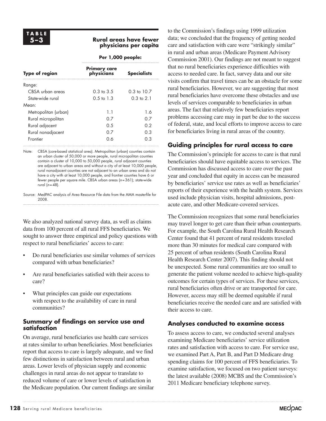### **5–3 Rural areas have fewer physicians per capita**

|                       | Per 1,000 people:                 |                        |  |  |
|-----------------------|-----------------------------------|------------------------|--|--|
| <b>Type of region</b> | <b>Primary care</b><br>physicians | <b>Specialists</b>     |  |  |
| Range:                |                                   |                        |  |  |
| CBSA urban areas      | $0.3 \text{ to } 3.5$             | $0.3 \text{ to } 10.7$ |  |  |
| State-wide rural      | $0.5 \text{ to } 1.3$             | $0.3 \text{ to } 2.1$  |  |  |
| Mean:                 |                                   |                        |  |  |
| Metropolitan (urban)  | 1.1                               | 1.6                    |  |  |
| Rural micropolitan    | ი ⁊                               | 0.7                    |  |  |
| Rural adjacent        | 0.5                               | 0.2                    |  |  |
| Rural nonadjacent     | 0.7                               | 0.3                    |  |  |
| Frontier              | 0.6                               | 0.3                    |  |  |

Note: CBSA (core-based statistical area). Metropolitan (urban) counties contain an urban cluster of 50,000 or more people, rural micropolitan counties contain a cluster of 10,000 to 50,000 people, rural adjacent counties are adjacent to urban areas and without a city of at least 10,000 people, rural nonadjacent counties are not adjacent to an urban area and do not have a city with at least 10,000 people, and frontier counties have 6 or fewer people per square mile. CBSA urban areas (*n*=361); state-wide rural (*n*=48).

Source: MedPAC analysis of Area Resource File data from the AMA masterfile for 2008.

We also analyzed national survey data, as well as claims data from 100 percent of all rural FFS beneficiaries. We sought to answer three empirical and policy questions with respect to rural beneficiaries' access to care:

- • Do rural beneficiaries use similar volumes of services compared with urban beneficiaries?
- Are rural beneficiaries satisfied with their access to care?
- What principles can guide our expectations with respect to the availability of care in rural communities?

### **Summary of findings on service use and satisfaction**

On average, rural beneficiaries use health care services at rates similar to urban beneficiaries. Most beneficiaries report that access to care is largely adequate, and we find few distinctions in satisfaction between rural and urban areas. Lower levels of physician supply and economic challenges in rural areas do not appear to translate to reduced volume of care or lower levels of satisfaction in the Medicare population. Our current findings are similar to the Commission's findings using 1999 utilization data; we concluded that the frequency of getting needed care and satisfaction with care were "strikingly similar" in rural and urban areas (Medicare Payment Advisory Commission 2001). Our findings are not meant to suggest that no rural beneficiaries experience difficulties with access to needed care. In fact, survey data and our site visits confirm that travel times can be an obstacle for some rural beneficiaries. However, we are suggesting that most rural beneficiaries have overcome these obstacles and use levels of services comparable to beneficiaries in urban areas. The fact that relatively few beneficiaries report problems accessing care may in part be due to the success of federal, state, and local efforts to improve access to care for beneficiaries living in rural areas of the country.

# **Guiding principles for rural access to care**

The Commission's principle for access to care is that rural beneficiaries should have equitable access to services. The Commission has discussed access to care over the past year and concluded that equity in access can be measured by beneficiaries' service use rates as well as beneficiaries' reports of their experience with the health system. Services used include physician visits, hospital admissions, postacute care, and other Medicare-covered services.

The Commission recognizes that some rural beneficiaries may travel longer to get care than their urban counterparts. For example, the South Carolina Rural Health Research Center found that 41 percent of rural residents traveled more than 30 minutes for medical care compared with 25 percent of urban residents (South Carolina Rural Health Research Center 2007). This finding should not be unexpected. Some rural communities are too small to generate the patient volume needed to achieve high-quality outcomes for certain types of services. For these services, rural beneficiaries often drive or are transported for care. However, access may still be deemed equitable if rural beneficiaries receive the needed care and are satisfied with their access to care.

# **Analyses conducted to examine access**

To assess access to care, we conducted several analyses examining Medicare beneficiaries' service utilization rates and satisfaction with access to care. For service use, we examined Part A, Part B, and Part D Medicare drug spending claims for 100 percent of FFS beneficiaries. To examine satisfaction, we focused on two patient surveys: the latest available (2008) MCBS and the Commission's 2011 Medicare beneficiary telephone survey.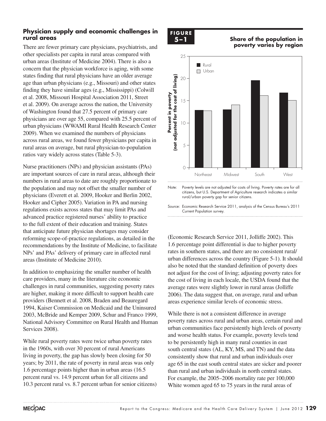### **Physician supply and economic challenges in rural areas**

There are fewer primary care physicians, psychiatrists, and other specialists per capita in rural areas compared with urban areas (Institute of Medicine 2004). There is also a concern that the physician workforce is aging, with some states finding that rural physicians have an older average age than urban physicians (e.g., Missouri) and other states finding they have similar ages (e.g., Mississippi) (Colwill et al. 2008, Missouri Hospital Association 2011, Street et al. 2009). On average across the nation, the University of Washington found that 27.5 percent of primary care physicians are over age 55, compared with 25.5 percent of urban physicians (WWAMI Rural Health Research Center 2009). When we examined the numbers of physicians across rural areas, we found fewer physicians per capita in rural areas on average, but rural physician-to-population ratios vary widely across states (Table 5-3).

Nurse practitioners (NPs) and physician assistants (PAs) are important sources of care in rural areas, although their numbers in rural areas to date are roughly proportionate to the population and may not offset the smaller number of physicians (Everett et al. 2009, Hooker and Berlin 2002, Hooker and Cipher 2005). Variation in PA and nursing regulations exists across states that may limit PAs and advanced practice registered nurses' ability to practice to the full extent of their education and training. States that anticipate future physician shortages may consider reforming scope-of-practice regulations, as detailed in the recommendations by the Institute of Medicine, to facilitate NPs' and PAs' delivery of primary care in affected rural areas (Institute of Medicine 2010).

In addition to emphasizing the smaller number of health care providers, many in the literature cite economic challenges in rural communities, suggesting poverty rates are higher, making it more difficult to support health care providers (Bennett et al. 2008, Braden and Beauregard 1994, Kaiser Commission on Medicaid and the Uninsured 2003, McBride and Kemper 2009, Schur and Franco 1999, National Advisory Committee on Rural Health and Human Services 2008).

While rural poverty rates were twice urban poverty rates in the 1960s, with over 30 percent of rural Americans living in poverty, the gap has slowly been closing for 50 years; by 2011, the rate of poverty in rural areas was only 1.6 percentage points higher than in urban areas (16.5 percent rural vs. 14.9 percent urban for all citizens and 10.3 percent rural vs. 8.7 percent urban for senior citizens)

# **F igur e 2-1 Share of the population in poverty FIGURE**

#### **5–1 Share of the population in poverty varies by region**



Note: Poverty levels are not adjusted for costs of living. Poverty rates are for all citizens, but U.S. Department of Agriculture research indicates a similar rural/urban poverty gap for senior citizens.

Source: Economic Research Service 2011, analysis of the Census Bureau's 2011 Current Population survey.

(Economic Research Service 2011, Jolliffe 2002). This 1.6 percentage point differential is due to higher poverty rates in southern states, and there are no consistent rural/ urban differences across the country (Figure 5-1). It should also be noted that the standard definition of poverty does also so had that the standard definition of poverty does<br>not adjust for the cost of living; adjusting poverty rates for the cost of living in each locale, the USDA found that the average rates were slightly lower in rural areas (Jolliffe 2006). The data suggest that, on average, rural and urban areas experience similar levels of economic stress.

While there is not a consistent difference in average poverty rates across rural and urban areas, certain rural and urban communities face persistently high levels of poverty and worse health status. For example, poverty levels tend to be persistently high in many rural counties in east south central states (AL, KY, MS, and TN) and the data consistently show that rural and urban individuals over age 65 in the east south central states are sicker and poorer than rural and urban individuals in north central states. For example, the 2005–2006 mortality rate per 100,000 White women aged 65 to 75 years in the rural areas of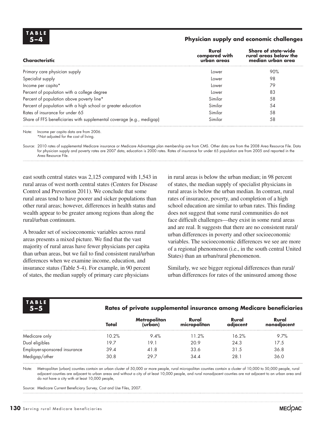| TABLE |     |  |
|-------|-----|--|
|       | 5—4 |  |

#### **5–4 Physician supply and economic challenges**

| Lower   | 90% |
|---------|-----|
|         |     |
| Lower   | 98  |
| Lower   | 79  |
| Lower   | 83  |
| Similar | 58  |
| Similar | .54 |
| Similar | 58  |
| Similar | 58  |
|         |     |

Note: Income per capita data are from 2006. \*Not adjusted for the cost of living.

Source: 2010 rates of supplemental Medicare insurance or Medicare Advantage plan membership are from CMS. Other data are from the 2008 Area Resource File. Data for physician supply and poverty rates are 2007 data, education is 2000 rates. Rates of insurance for under 65 population are from 2005 and reported in the Area Resource File.

east south central states was 2,125 compared with 1,543 in rural areas of west north central states (Centers for Disease Control and Prevention 2011). We conclude that some rural areas tend to have poorer and sicker populations than other rural areas; however, differences in health status and wealth appear to be greater among regions than along the rural/urban continuum.

A broader set of socioeconomic variables across rural areas presents a mixed picture. We find that the vast majority of rural areas have fewer physicians per capita than urban areas, but we fail to find consistent rural/urban differences when we examine income, education, and insurance status (Table 5-4). For example, in 90 percent of states, the median supply of primary care physicians

in rural areas is below the urban median; in 98 percent of states, the median supply of specialist physicians in rural areas is below the urban median. In contrast, rural rates of insurance, poverty, and completion of a high school education are similar to urban rates. This finding does not suggest that some rural communities do not face difficult challenges—they exist in some rural areas and are real. It suggests that there are no consistent rural/ urban differences in poverty and other socioeconomic variables. The socioeconomic differences we see are more of a regional phenomenon (i.e., in the south central United States) than an urban/rural phenomenon.

Similarly, we see bigger regional differences than rural/ urban differences for rates of the uninsured among those

|                              |       |                                |                       |                   | Rates of private supplemental insurance among Medicare beneficiaries |  |  |  |
|------------------------------|-------|--------------------------------|-----------------------|-------------------|----------------------------------------------------------------------|--|--|--|
|                              | Total | <b>Metropolitan</b><br>(urban) | Rural<br>micropolitan | Rural<br>adiacent | Rural<br>nonadjacent                                                 |  |  |  |
| Medicare only                | 10.2% | 9.4%                           | 11.2%                 | 16.2%             | 9.7%                                                                 |  |  |  |
| Dual eligibles               | 197   | 19.1                           | 20.9                  | 24.3              | 17.5                                                                 |  |  |  |
| Employer-sponsored insurance | 39.4  | 41.8                           | 33.6                  | 31.5              | 36.8                                                                 |  |  |  |
| Medigap/other                | 30.8  | 29.7                           | 34.4                  | 28.1              | 36.0                                                                 |  |  |  |

Note: Metropolitan (urban) counties contain an urban cluster of 50,000 or more people, rural micropolitan counties contain a cluster of 10,000 to 50,000 people, rural adjacent counties are adjacent to urban areas and without a city of at least 10,000 people, and rural nonadjacent counties are not adjacent to an urban area and do not have a city with at least 10,000 people,

Source: Medicare Current Beneficiary Survey, Cost and Use Files, 2007.

**TA B L E**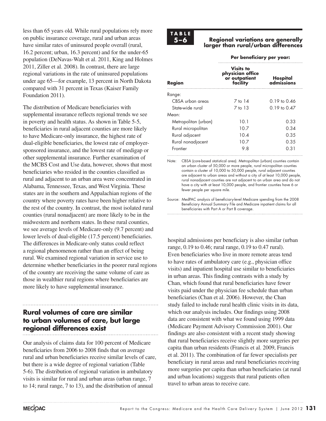less than 65 years old. While rural populations rely more on public insurance coverage, rural and urban areas have similar rates of uninsured people overall (rural, 16.2 percent; urban, 16.3 percent) and for the under-65 population (DeNavas-Walt et al. 2011, King and Holmes 2011, Ziller et al. 2008). In contrast, there are large regional variations in the rate of uninsured populations under age 65—for example, 13 percent in North Dakota compared with 31 percent in Texas (Kaiser Family Foundation 2011).

The distribution of Medicare beneficiaries with supplemental insurance reflects regional trends we see in poverty and health status. As shown in Table 5-5, beneficiaries in rural adjacent counties are more likely to have Medicare-only insurance, the highest rate of dual-eligible beneficiaries, the lowest rate of employersponsored insurance, and the lowest rate of medigap or other supplemental insurance. Further examination of the MCBS Cost and Use data, however, shows that most beneficiaries who resided in the counties classified as rural and adjacent to an urban area were concentrated in Alabama, Tennessee, Texas, and West Virginia. These states are in the southern and Appalachian regions of the country where poverty rates have been higher relative to the rest of the country. In contrast, the most isolated rural counties (rural nonadjacent) are more likely to be in the midwestern and northern states. In these rural counties, we see average levels of Medicare-only (9.7 percent) and lower levels of dual-eligible (17.5 percent) beneficiaries. The differences in Medicare-only status could reflect a regional phenomenon rather than an effect of being rural. We examined regional variation in service use to determine whether beneficiaries in the poorer rural regions of the country are receiving the same volume of care as those in wealthier rural regions where beneficiaries are more likely to have supplemental insurance.

# **Rural volumes of care are similar to urban volumes of care, but large regional differences exist**

Our analysis of claims data for 100 percent of Medicare beneficiaries from 2006 to 2008 finds that on average rural and urban beneficiaries receive similar levels of care, but there is a wide degree of regional variation (Table 5-6). The distribution of regional variation in ambulatory visits is similar for rural and urban areas (urban range, 7 to 14; rural range, 7 to 13), and the distribution of annual

# **TA B L E**

#### **5–6 Regional variations are generally larger than rural/urban differences**

#### **Per beneficiary per year:**

| Region               | <b>Visits to</b><br>physician office<br>or outpatient<br>facility | Hospital<br>admissions |
|----------------------|-------------------------------------------------------------------|------------------------|
| Range:               |                                                                   |                        |
| CBSA urban areas     | 7 to 14                                                           | 0.19 to 0.46           |
| State-wide rural     | $7$ to $13$                                                       | 0.19 to 0.47           |
| Mean:                |                                                                   |                        |
| Metropolitan (urban) | 10.1                                                              | 0.33                   |
| Rural micropolitan   | 10.7                                                              | 0.34                   |
| Rural adjacent       | 10.4                                                              | 0.35                   |
| Rural nonadjacent    | 10.7                                                              | 0.35                   |
| Frontier             | 9.8                                                               | 0.31                   |

Note: CBSA (core-based statistical area). Metropolitan (urban) counties contain an urban cluster of 50,000 or more people, rural micropolitan counties contain a cluster of 10,000 to 50,000 people, rural adjacent counties are adjacent to urban areas and without a city of at least 10,000 people, rural nonadjacent counties are not adjacent to an urban area and do not have a city with at least 10,000 people, and frontier counties have 6 or fewer people per square mile.

Source: MedPAC analysis of beneficiary-level Medicare spending from the 2008 Beneficiary Annual Summary File and Medicare inpatient claims for all beneficiaries with Part A or Part B coverage.

hospital admissions per beneficiary is also similar (urban range, 0.19 to 0.46; rural range, 0.19 to 0.47 rural). Even beneficiaries who live in more remote areas tend to have rates of ambulatory care (e.g., physician office visits) and inpatient hospital use similar to beneficiaries in urban areas. This finding contrasts with a study by Chan, which found that rural beneficiaries have fewer visits paid under the physician fee schedule than urban beneficiaries (Chan et al. 2006). However, the Chan study failed to include rural health clinic visits in its data, which our analysis includes. Our findings using 2008 data are consistent with what we found using 1999 data (Medicare Payment Advisory Commission 2001). Our findings are also consistent with a recent study showing that rural beneficiaries receive slightly more surgeries per capita than urban residents (Francis et al. 2009, Francis et al. 2011). The combination of far fewer specialists per beneficiary in rural areas and rural beneficiaries receiving more surgeries per capita than urban beneficiaries (at rural and urban locations) suggests that rural patients often travel to urban areas to receive care.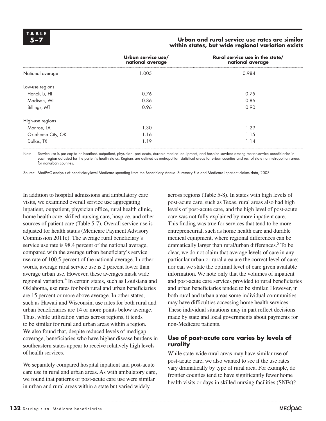#### **5–7 Urban and rural service use rates are similar within states, but wide regional variation exists**

|                   | Urban service use/<br>national average | Rural service use in the state/<br>national average |
|-------------------|----------------------------------------|-----------------------------------------------------|
| National average  | 1.005                                  | 0.984                                               |
| Low-use regions   |                                        |                                                     |
| Honolulu, HI      | 0.76                                   | 0.75                                                |
| Madison, WI       | 0.86                                   | 0.86                                                |
| Billings, MT      | 0.96                                   | 0.90                                                |
| High-use regions  |                                        |                                                     |
| Monroe, LA        | 1.30                                   | 1.29                                                |
| Oklahoma City, OK | 1.16                                   | 1.15                                                |
| Dallas, TX        | 1.19                                   | 1.14                                                |

Note: Service use is per capita of inpatient, outpatient, physician, post-acute, durable medical equipment, and hospice services among fee-for-service beneficiaries in each region adjusted for the patient's health status. Regions are defined as metropolitan statistical areas for urban counties and rest of state nonmetropolitan areas for nonurban counties.

Source: MedPAC analysis of beneficiary-level Medicare spending from the Beneficiary Annual Summary File and Medicare inpatient claims data, 2008.

In addition to hospital admissions and ambulatory care visits, we examined overall service use aggregating inpatient, outpatient, physician office, rural health clinic, home health care, skilled nursing care, hospice, and other sources of patient care (Table 5-7). Overall service use is adjusted for health status (Medicare Payment Advisory Commission 2011c). The average rural beneficiary's service use rate is 98.4 percent of the national average, compared with the average urban beneficiary's service use rate of 100.5 percent of the national average. In other words, average rural service use is 2 percent lower than average urban use. However, these averages mask wide regional variation.<sup>4</sup> In certain states, such as Louisiana and Oklahoma, use rates for both rural and urban beneficiaries are 15 percent or more above average. In other states, such as Hawaii and Wisconsin, use rates for both rural and urban beneficiaries are 14 or more points below average. Thus, while utilization varies across regions, it tends to be similar for rural and urban areas within a region. We also found that, despite reduced levels of medigap coverage, beneficiaries who have higher disease burdens in southeastern states appear to receive relatively high levels of health services.

We separately compared hospital inpatient and post-acute care use in rural and urban areas. As with ambulatory care, we found that patterns of post-acute care use were similar in urban and rural areas within a state but varied widely

across regions (Table 5-8). In states with high levels of post-acute care, such as Texas, rural areas also had high levels of post-acute care, and the high level of post-acute care was not fully explained by more inpatient care. This finding was true for services that tend to be more entrepreneurial, such as home health care and durable medical equipment, where regional differences can be dramatically larger than rural/urban differences.<sup>5</sup> To be clear, we do not claim that average levels of care in any particular urban or rural area are the correct level of care; nor can we state the optimal level of care given available information. We note only that the volumes of inpatient and post-acute care services provided to rural beneficiaries and urban beneficiaries tended to be similar. However, in both rural and urban areas some individual communities may have difficulties accessing home health services. These individual situations may in part reflect decisions made by state and local governments about payments for non-Medicare patients.

### **Use of post-acute care varies by levels of rurality**

While state-wide rural areas may have similar use of post-acute care, we also wanted to see if the use rates vary dramatically by type of rural area. For example, do frontier counties tend to have significantly fewer home health visits or days in skilled nursing facilities (SNFs)?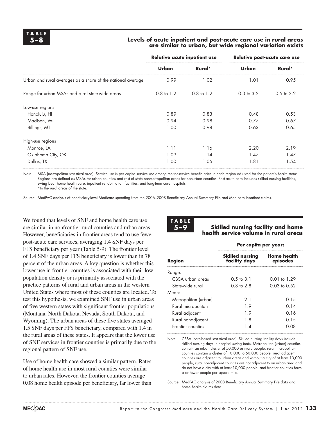#### **5–8 Levels of acute inpatient and post-acute care use in rural areas are similar to urban, but wide regional variation exists**

|                                                             | Relative acute inpatient use |                       | Relative post-acute care use |                |
|-------------------------------------------------------------|------------------------------|-----------------------|------------------------------|----------------|
|                                                             | Urban                        | Rural*                | Urban                        | Rural*         |
| Urban and rural averages as a share of the national average | 0.99                         | 1.02                  | 1.01                         | 0.95           |
| Range for urban MSAs and rural state-wide areas             | $0.8$ to $1.2$               | $0.8 \text{ to } 1.2$ | $0.3$ to $3.2$               | $0.5$ to $2.2$ |
| Low-use regions                                             |                              |                       |                              |                |
| Honolulu, HI                                                | 0.89                         | 0.83                  | 0.48                         | 0.53           |
| Madison, WI                                                 | 0.94                         | 0.98                  | 0.77                         | 0.67           |
| Billings, MT                                                | 1.00                         | 0.98                  | 0.63                         | 0.65           |
| High-use regions                                            |                              |                       |                              |                |
| Monroe, LA                                                  | 1.11                         | 1.16                  | 2.20                         | 2.19           |
| Oklahoma City, OK                                           | 1.09                         | 1.14                  | 1.47                         | 1.47           |
| Dallas, TX                                                  | 1.00                         | 1.06                  | 1.81                         | 1.54           |

Note: MSA (metropolitan statistical area). Service use is per capita service use among fee-for-service beneficiaries in each region adjusted for the patient's health status. Regions are defined as MSAs for urban counties and rest of state nonmetropolitan areas for nonurban counties. Post-acute care includes skilled nursing facilities, swing bed, home health care, inpatient rehabilitation facilities, and long-term care hospitals. \*In the rural areas of the state.

Source: MedPAC analysis of beneficiary-level Medicare spending from the 2006–2008 Beneficiary Annual Summary File and Medicare inpatient claims.

We found that levels of SNF and home health care use are similar in nonfrontier rural counties and urban areas. However, beneficiaries in frontier areas tend to use fewer post-acute care services, averaging 1.4 SNF days per FFS beneficiary per year (Table 5-9). The frontier level of 1.4 SNF days per FFS beneficiary is lower than in 78 percent of the urban areas. A key question is whether this lower use in frontier counties is associated with their low population density or is primarily associated with the practice patterns of rural and urban areas in the western United States where most of these counties are located. To test this hypothesis, we examined SNF use in urban areas of five western states with significant frontier populations (Montana, North Dakota, Nevada, South Dakota, and Wyoming). The urban areas of these five states averaged 1.5 SNF days per FFS beneficiary, compared with 1.4 in the rural areas of these states. It appears that the lower use of SNF services in frontier counties is primarily due to the regional pattern of SNF use.

Use of home health care showed a similar pattern. Rates of home health use in most rural counties were similar to urban rates. However, the frontier counties average 0.08 home health episode per beneficiary, far lower than



#### **5–9 Skilled nursing facility and home health service volume in rural areas**

|                      | Per capita per year:                    |                                |  |
|----------------------|-----------------------------------------|--------------------------------|--|
| Region               | <b>Skilled nursing</b><br>facility days | <b>Home health</b><br>episodes |  |
| Range:               |                                         |                                |  |
| CBSA urban areas     | $0.5 \text{ to } 3.1$                   | $0.01 \text{ to } 1.29$        |  |
| State-wide rural     | 0.8 to 2.8                              | $0.03 \text{ to } 0.52$        |  |
| Mean:                |                                         |                                |  |
| Metropolitan (urban) | 21                                      | 0.15                           |  |
| Rural micropolitan   | 19                                      | 0.14                           |  |
| Rural adjacent       | 19                                      | 0 16                           |  |
| Rural nonadjacent    | 1.8                                     | 0.15                           |  |
| Frontier counties    |                                         |                                |  |

Note: CBSA (core-based statistical area). Skilled nursing facility days include skilled nursing days in hospital swing beds. Metropolitan (urban) counties contain an urban cluster of 50,000 or more people, rural micropolitan counties contain a cluster of 10,000 to 50,000 people, rural adjacent counties are adjacent to urban areas and without a city of at least 10,000 people, rural nonadjacent counties are not adjacent to an urban area and do not have a city with at least 10,000 people, and frontier counties have 6 or fewer people per square mile.

Source: MedPAC analysis of 2008 Beneficiary Annual Summary File data and home health claims data.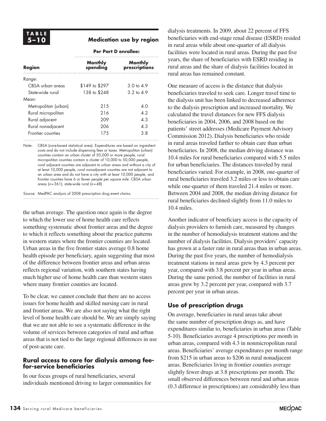### **5–10 Medication use by region**

#### **Per Part D enrollee:**

| <b>Region</b>        | <b>Monthly</b><br>spending | <b>Monthly</b><br>prescriptions |  |
|----------------------|----------------------------|---------------------------------|--|
| Range:               |                            |                                 |  |
| CBSA urban areas     | \$149 to \$297             | $3.0 \text{ to } 4.9$           |  |
| State-wide rural     | 138 to \$248               | $3.2 \text{ to } 4.9$           |  |
| Mean:                |                            |                                 |  |
| Metropolitan (urban) | 215                        | 4.0                             |  |
| Rural micropolitan   | 216                        | 4.2                             |  |
| Rural adjacent       | 209                        | 4.3                             |  |
| Rural nonadjacent    | 206                        | 4.3                             |  |
| Frontier counties    | 175                        | 3.8                             |  |
|                      |                            |                                 |  |

Note: CBSA (core-based statistical area). Expenditures are based on ingredient costs and do not include dispensing fees or taxes. Metropolitan (urban) counties contain an urban cluster of 50,000 or more people, rural micropolitan counties contain a cluster of 10,000 to 50,000 people, rural adjacent counties are adjacent to urban areas and without a city of at least 10,000 people, rural nonadjacent counties are not adjacent to an urban area and do not have a city with at least 10,000 people, and frontier counties have 6 or fewer people per square mile. CBSA urban areas (*n*=361); state-wide rural (*n*=48).

Source: MedPAC analysis of 2008 prescription drug event claims.

the urban average. The question once again is the degree to which the lower use of home health care reflects something systematic about frontier areas and the degree to which it reflects something about the practice patterns in western states where the frontier counties are located. Urban areas in the five frontier states average 0.8 home health episode per beneficiary, again suggesting that most of the difference between frontier areas and urban areas reflects regional variation, with southern states having much higher use of home health care than western states where many frontier counties are located.

To be clear, we cannot conclude that there are no access issues for home health and skilled nursing care in rural and frontier areas. We are also not saying what the right level of home health care should be. We are simply saying that we are not able to see a systematic difference in the volume of services between categories of rural and urban areas that is not tied to the large regional differences in use of post-acute care.

### **Rural access to care for dialysis among feefor-service beneficiaries**

In our focus groups of rural beneficiaries, several individuals mentioned driving to larger communities for

dialysis treatments. In 2009, about 22 percent of FFS beneficiaries with end-stage renal disease (ESRD) resided in rural areas while about one-quarter of all dialysis facilities were located in rural areas. During the past five years, the share of beneficiaries with ESRD residing in rural areas and the share of dialysis facilities located in rural areas has remained constant.

One measure of access is the distance that dialysis beneficiaries traveled to seek care. Longer travel time to the dialysis unit has been linked to decreased adherence to the dialysis prescription and increased mortality. We calculated the travel distances for new FFS dialysis beneficiaries in 2004, 2006, and 2008 based on the patients' street addresses (Medicare Payment Advisory Commission 2012). Dialysis beneficiaries who reside in rural areas traveled farther to obtain care than urban beneficiaries. In 2008, the median driving distance was 10.4 miles for rural beneficiaries compared with 5.5 miles for urban beneficiaries. The distances traveled by rural beneficiaries varied. For example, in 2008, one-quarter of rural beneficiaries traveled 3.2 miles or less to obtain care while one-quarter of them traveled 21.4 miles or more. Between 2004 and 2008, the median driving distance for rural beneficiaries declined slightly from 11.0 miles to 10.4 miles.

Another indicator of beneficiary access is the capacity of dialysis providers to furnish care, measured by changes in the number of hemodialysis treatment stations and the number of dialysis facilities. Dialysis providers' capacity has grown at a faster rate in rural areas than in urban areas. During the past five years, the number of hemodialysis treatment stations in rural areas grew by 4.3 percent per year, compared with 3.8 percent per year in urban areas. During the same period, the number of facilities in rural areas grew by 3.2 percent per year, compared with 3.7 percent per year in urban areas.

# **Use of prescription drugs**

On average, beneficiaries in rural areas take about the same number of prescription drugs as, and have expenditures similar to, beneficiaries in urban areas (Table 5-10). Beneficiaries average 4 prescriptions per month in urban areas, compared with 4.3 in nonmicropolitan rural areas. Beneficiaries' average expenditures per month range from \$215 in urban areas to \$206 in rural nonadjacent areas. Beneficiaries living in frontier counties average slightly fewer drugs at 3.8 prescriptions per month. The small observed differences between rural and urban areas (0.3 difference in prescriptions) are considerably less than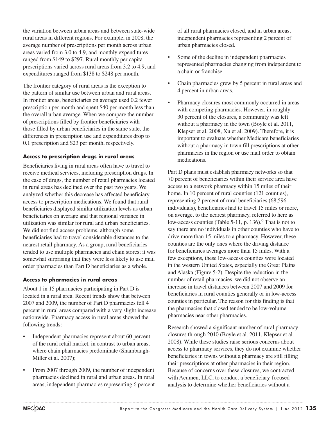the variation between urban areas and between state-wide rural areas in different regions. For example, in 2008, the average number of prescriptions per month across urban areas varied from 3.0 to 4.9, and monthly expenditures ranged from \$149 to \$297. Rural monthly per capita prescriptions varied across rural areas from 3.2 to 4.9, and expenditures ranged from \$138 to \$248 per month.

The frontier category of rural areas is the exception to the pattern of similar use between urban and rural areas. In frontier areas, beneficiaries on average used 0.2 fewer prescription per month and spent \$40 per month less than the overall urban average. When we compare the number of prescriptions filled by frontier beneficiaries with those filled by urban beneficiaries in the same state, the differences in prescription use and expenditures drop to 0.1 prescription and \$23 per month, respectively.

### **Access to prescription drugs in rural areas**

Beneficiaries living in rural areas often have to travel to receive medical services, including prescription drugs. In the case of drugs, the number of retail pharmacies located in rural areas has declined over the past two years. We analyzed whether this decrease has affected beneficiary access to prescription medications. We found that rural beneficiaries displayed similar utilization levels as urban beneficiaries on average and that regional variance in utilization was similar for rural and urban beneficiaries. We did not find access problems, although some beneficiaries had to travel considerable distances to the nearest retail pharmacy. As a group, rural beneficiaries tended to use multiple pharmacies and chain stores; it was somewhat surprising that they were less likely to use mail order pharmacies than Part D beneficiaries as a whole.

### **Access to pharmacies in rural areas**

About 1 in 15 pharmacies participating in Part D is located in a rural area. Recent trends show that between 2007 and 2009, the number of Part D pharmacies fell 4 percent in rural areas compared with a very slight increase nationwide. Pharmacy access in rural areas showed the following trends:

- Independent pharmacies represent about 60 percent of the rural retail market, in contrast to urban areas, where chain pharmacies predominate (Shambaugh-Miller et al. 2007);
- From 2007 through 2009, the number of independent pharmacies declined in rural and urban areas. In rural areas, independent pharmacies representing 6 percent

of all rural pharmacies closed, and in urban areas, independent pharmacies representing 2 percent of urban pharmacies closed.

- Some of the decline in independent pharmacies represented pharmacies changing from independent to a chain or franchise.
- Chain pharmacies grew by 5 percent in rural areas and 4 percent in urban areas.
- Pharmacy closures most commonly occurred in areas with competing pharmacies. However, in roughly 30 percent of the closures, a community was left without a pharmacy in the town (Boyle et al. 2011, Klepser et al. 2008, Xu et al. 2009). Therefore, it is important to evaluate whether Medicare beneficiaries without a pharmacy in town fill prescriptions at other pharmacies in the region or use mail order to obtain medications.

Part D plans must establish pharmacy networks so that 70 percent of beneficiaries within their service area have access to a network pharmacy within 15 miles of their home. In 10 percent of rural counties (121 counties), representing 2 percent of rural beneficiaries (68,596 individuals), beneficiaries had to travel 15 miles or more, on average, to the nearest pharmacy, referred to here as low-access counties (Table 5-11, p. 136). $6$  That is not to say there are no individuals in other counties who have to drive more than 15 miles to a pharmacy. However, these counties are the only ones where the driving distance for beneficiaries averages more than 15 miles. With a few exceptions, these low-access counties were located in the western United States, especially the Great Plains and Alaska (Figure 5-2). Despite the reduction in the number of retail pharmacies, we did not observe an increase in travel distances between 2007 and 2009 for beneficiaries in rural counties generally or in low-access counties in particular. The reason for this finding is that the pharmacies that closed tended to be low-volume pharmacies near other pharmacies.

Research showed a significant number of rural pharmacy closures through 2010 (Boyle et al. 2011, Klepser et al. 2008). While these studies raise serious concerns about access to pharmacy services, they do not examine whether beneficiaries in towns without a pharmacy are still filling their prescriptions at other pharmacies in their region. Because of concerns over these closures, we contracted with Acumen, LLC, to conduct a beneficiary-focused analysis to determine whether beneficiaries without a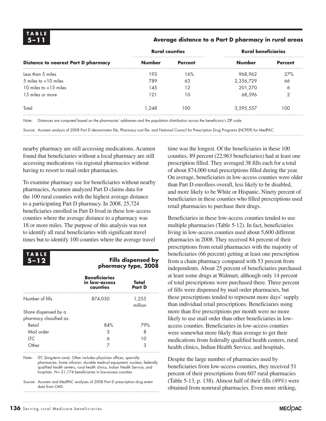### **5–11 Average distance to a Part D pharmacy in rural areas**

|                                            | <b>Rural counties</b> |                | <b>Rural beneficiaries</b> |         |
|--------------------------------------------|-----------------------|----------------|----------------------------|---------|
| <b>Distance to nearest Part D pharmacy</b> | <b>Number</b>         | <b>Percent</b> | <b>Number</b>              | Percent |
| Less than 5 miles                          | 193                   | 16%            | 968,962                    | 27%     |
| 5 miles to $<$ 10 miles                    | 789                   | 63             | 2,356,729                  | 66      |
| 10 miles to $<$ 15 miles                   | 145                   | 12             | 201,270                    | Ô       |
| 1.5 miles or more                          | 121                   | 10             | 68.596                     |         |
| Total                                      | 1.248                 | 100            | 3,595,557                  | 100     |

Note: Distances are computed based on the pharmacies' addresses and the population distribution across the beneficiary's ZIP code.

Source: Acumen analysis of 2008 Part D denominator file, Pharmacy cost file, and National Council for Prescription Drug Programs (NCPDP) for MedPAC.

nearby pharmacy are still accessing medications. Acumen found that beneficiaries without a local pharmacy are still accessing medications via regional pharmacies without having to resort to mail order pharmacies.

To examine pharmacy use for beneficiaries without nearby pharmacies, Acumen analyzed Part D claims data for the 100 rural counties with the highest average distance to a participating Part D pharmacy. In 2008, 25,724 beneficiaries enrolled in Part D lived in these low-access counties where the average distance to a pharmacy was 18 or more miles. The purpose of this analysis was not to identify all rural beneficiaries with significant travel times but to identify 100 counties where the average travel



#### **5–12 Fills dispensed by pharmacy type, 2008**

|                            | <b>Beneficiaries</b><br>in low-access<br>counties | Total<br>Part D  |
|----------------------------|---------------------------------------------------|------------------|
| Number of fills<br>874,030 |                                                   | 1,255<br>million |
| Share dispensed by a       |                                                   |                  |
| pharmacy classified as:    |                                                   |                  |
| Retail                     | 84%                                               | 79%              |
| Mail order                 | 3                                                 | 8                |
| ITC                        | 6                                                 | 10               |
| )ther                      |                                                   |                  |

Note: LTC (long-term care). Other includes physician offices, specialty pharmacies, home infusion, durable medical equipment, nuclear, federally qualified health centers, rural health clinics, Indian Health Service, and hospitals. *N*= 21,174 beneficiaries in low-access counties.

Source: Acumen and MedPAC analyses of 2008 Part D prescription drug event data from CMS.

time was the longest. Of the beneficiaries in these 100 counties, 89 percent (22,963 beneficiaries) had at least one prescription filled. They averaged 38 fills each for a total of about 874,000 total prescriptions filled during the year. On average, beneficiaries in low-access counties were older than Part D enrollees overall, less likely to be disabled, and more likely to be White or Hispanic. Ninety percent of beneficiaries in these counties who filled prescriptions used retail pharmacies to purchase their drugs.

Beneficiaries in these low-access counties tended to use multiple pharmacies (Table 5-12). In fact, beneficiaries living in low-access counties used about 5,600 different pharmacies in 2008. They received 84 percent of their prescriptions from retail pharmacies with the majority of beneficiaries (66 percent) getting at least one prescription from a chain pharmacy compared with 53 percent from independents. About 25 percent of beneficiaries purchased at least some drugs at Walmart, although only 14 percent of total prescriptions were purchased there. Three percent of fills were dispensed by mail order pharmacies, but these prescriptions tended to represent more days' supply than individual retail prescriptions. Beneficiaries using more than five prescriptions per month were no more likely to use mail order than other beneficiaries in lowaccess counties. Beneficiaries in low-access counties were somewhat more likely than average to get their medications from federally qualified health centers, rural health clinics, Indian Health Service, and hospitals.

Despite the large number of pharmacies used by beneficiaries from low-access counties, they received 51 percent of their prescriptions from 607 rural pharmacies (Table 5-13, p. 138). Almost half of their fills (49%) were obtained from nonrural pharmacies. Even more striking,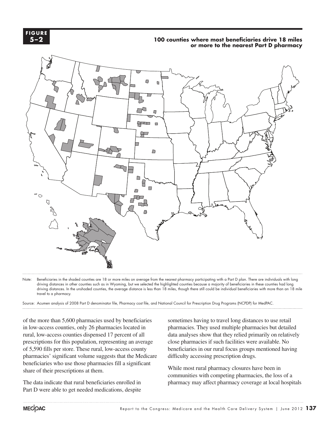**2-2 F igur e 5–2**

# **100 counties where most beneficiaries drive 18 miles 100 counties where most beneficiaries drive 18 miles.... FIGURE or more to the nearest Part D pharmacy**



Note: Beneficiaries in the shaded counties are 18 or more miles on average from the nearest pharmacy participating with a Part D plan. There are individuals with long driving distances in other counties such as in Wyoming, but we selected the highlighted counties because a majority of beneficiaries in these counties had long driving distances. In the unshaded counties, the average distance is less than 18 miles, though there still could be individual beneficiaries with more than an 18 mile travel to a pharmacy.

.<br>Source: Acumen analysis of 2008 Part D denominator file, Pharmacy cost file, and National Council for Prescription Drug Programs (NCPDP) for MedPAC.

of the more than 5,600 pharmacies used by beneficiaries in low-access counties, only 26 pharmacies located in rural, low-access counties dispensed 17 percent of all prescriptions for this population, representing an average of 5,590 fills per store. These rural, low-access county pharmacies' significant volume suggests that the Medicare beneficiaries who use those pharmacies fill a significant share of their prescriptions at them.

The data indicate that rural beneficiaries enrolled in Part D were able to get needed medications, despite

sometimes having to travel long distances to use retail pharmacies. They used multiple pharmacies but detailed data analyses show that they relied primarily on relatively close pharmacies if such facilities were available. No beneficiaries in our rural focus groups mentioned having difficulty accessing prescription drugs.

While most rural pharmacy closures have been in communities with competing pharmacies, the loss of a pharmacy may affect pharmacy coverage at local hospitals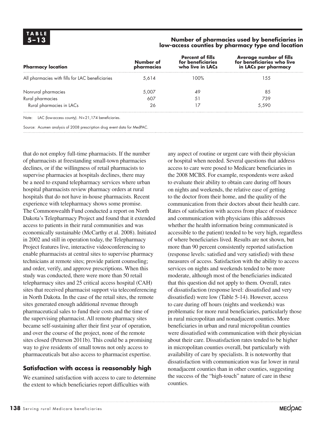#### **5–13 Number of pharmacies used by beneficiaries in low-access counties by pharmacy type and location**

| <b>Pharmacy location</b>                                  | Number of<br>pharmacies | <b>Percent of fills</b><br>for beneficiaries<br>who live in LACs | Average number of fills<br>for beneficiaries who live<br>in LACs per pharmacy |
|-----------------------------------------------------------|-------------------------|------------------------------------------------------------------|-------------------------------------------------------------------------------|
| All pharmacies with fills for LAC beneficiaries           | 5.614                   | 100%                                                             | 55                                                                            |
| Nonrural pharmacies                                       | 5,007                   | 49                                                               | 85                                                                            |
| Rural pharmacies                                          | 607                     | 51                                                               | 739                                                                           |
| Rural pharmacies in LACs                                  | 26                      | 17                                                               | 5.590                                                                         |
| LAC (low-access county). N=21,174 beneficiaries.<br>Note: |                         |                                                                  |                                                                               |

Source: Acumen analysis of 2008 prescription drug event data for MedPAC.

that do not employ full-time pharmacists. If the number of pharmacists at freestanding small-town pharmacies declines, or if the willingness of retail pharmacists to supervise pharmacies at hospitals declines, there may be a need to expand telepharmacy services where urban hospital pharmacists review pharmacy orders at rural hospitals that do not have in-house pharmacists. Recent experience with telepharmacy shows some promise. The Commonwealth Fund conducted a report on North Dakota's Telepharmacy Project and found that it extended access to patients in their rural communities and was economically sustainable (McCarthy et al. 2008). Initiated in 2002 and still in operation today, the Telepharmacy Project features live, interactive videoconferencing to enable pharmacists at central sites to supervise pharmacy technicians at remote sites; provide patient counseling; and order, verify, and approve prescriptions. When this study was conducted, there were more than 50 retail telepharmacy sites and 25 critical access hospital (CAH) sites that received pharmacist support via teleconferencing in North Dakota. In the case of the retail sites, the remote sites generated enough additional revenue through pharmaceutical sales to fund their costs and the time of the supervising pharmacist. All remote pharmacy sites became self-sustaining after their first year of operation, and over the course of the project, none of the remote sites closed (Peterson 2011b). This could be a promising way to give residents of small towns not only access to pharmaceuticals but also access to pharmacist expertise.

# **Satisfaction with access is reasonably high**

We examined satisfaction with access to care to determine the extent to which beneficiaries report difficulties with

any aspect of routine or urgent care with their physician or hospital when needed. Several questions that address access to care were posed to Medicare beneficiaries in the 2008 MCBS. For example, respondents were asked to evaluate their ability to obtain care during off hours on nights and weekends, the relative ease of getting to the doctor from their home, and the quality of the communication from their doctors about their health care. Rates of satisfaction with access from place of residence and communication with physicians (this addresses whether the health information being communicated is accessible to the patient) tended to be very high, regardless of where beneficiaries lived. Results are not shown, but more than 90 percent consistently reported satisfaction (response levels: satisfied and very satisfied) with these measures of access. Satisfaction with the ability to access services on nights and weekends tended to be more moderate, although most of the beneficiaries indicated that this question did not apply to them. Overall, rates of dissatisfaction (response level: dissatisfied and very dissatisfied) were low (Table 5-14). However, access to care during off hours (nights and weekends) was problematic for more rural beneficiaries, particularly those in rural micropolitan and nonadjacent counties. More beneficiaries in urban and rural micropolitan counties were dissatisfied with communication with their physician about their care. Dissatisfaction rates tended to be higher in micropolitan counties overall, but particularly with availability of care by specialists. It is noteworthy that dissatisfaction with communication was far lower in rural nonadjacent counties than in other counties, suggesting the success of the "high-touch" nature of care in these counties.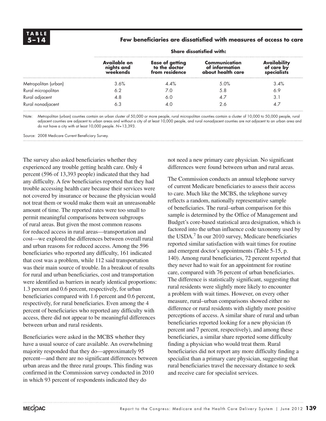### **5–14 Few beneficiaries are dissatisfied with measures of access to care**

|                      | .                                      |                                                    |                                                      |                                           |  |  |
|----------------------|----------------------------------------|----------------------------------------------------|------------------------------------------------------|-------------------------------------------|--|--|
|                      | Available on<br>nights and<br>weekends | Ease of getting<br>to the doctor<br>from residence | Communication<br>of information<br>about health care | Availability<br>of care by<br>specialists |  |  |
| Metropolitan (urban) | 3.6%                                   | $\Delta \Delta\%$                                  | 5.0%                                                 | 3.4%                                      |  |  |
| Rural micropolitan   |                                        | 7.0                                                | 5.8                                                  | 6.9                                       |  |  |
| Rural adjacent       |                                        | 6.C                                                |                                                      |                                           |  |  |
| Rural nonadjacent    |                                        |                                                    |                                                      |                                           |  |  |

#### **Share dissatisfied with:**

Note: Metropolitan (urban) counties contain an urban cluster of 50,000 or more people, rural micropolitan counties contain a cluster of 10,000 to 50,000 people, rural adjacent counties are adjacent to urban areas and without a city of at least 10,000 people, and rural nonadjacent counties are not adjacent to an urban area and do not have a city with at least 10,000 people. *N*=13,393.

Source: 2008 Medicare Current Beneficiary Survey.

The survey also asked beneficiaries whether they experienced any trouble getting health care. Only 4 percent (596 of 13,393 people) indicated that they had any difficulty. A few beneficiaries reported that they had trouble accessing health care because their services were not covered by insurance or because the physician would not treat them or would make them wait an unreasonable amount of time. The reported rates were too small to permit meaningful comparisons between subgroups of rural areas. But given the most common reasons for reduced access in rural areas—transportation and cost—we explored the differences between overall rural and urban reasons for reduced access. Among the 596 beneficiaries who reported any difficulty, 161 indicated that cost was a problem, while 112 said transportation was their main source of trouble. In a breakout of results for rural and urban beneficiaries, cost and transportation were identified as barriers in nearly identical proportions: 1.3 percent and 0.6 percent, respectively, for urban beneficiaries compared with 1.6 percent and 0.6 percent, respectively, for rural beneficiaries. Even among the 4 percent of beneficiaries who reported any difficulty with access, there did not appear to be meaningful differences between urban and rural residents.

Beneficiaries were asked in the MCBS whether they have a usual source of care available. An overwhelming majority responded that they do—approximately 95 percent—and there are no significant differences between urban areas and the three rural groups. This finding was confirmed in the Commission survey conducted in 2010 in which 93 percent of respondents indicated they do

not need a new primary care physician. No significant differences were found between urban and rural areas.

The Commission conducts an annual telephone survey of current Medicare beneficiaries to assess their access to care. Much like the MCBS, the telephone survey reflects a random, nationally representative sample of beneficiaries. The rural–urban comparison for this sample is determined by the Office of Management and Budget's core-based statistical area designation, which is factored into the urban influence code taxonomy used by the USDA.<sup>7</sup> In our 2010 survey, Medicare beneficiaries reported similar satisfaction with wait times for routine and emergent doctor's appointments (Table 5-15, p. 140). Among rural beneficiaries, 72 percent reported that they never had to wait for an appointment for routine care, compared with 76 percent of urban beneficiaries. The difference is statistically significant, suggesting that rural residents were slightly more likely to encounter a problem with wait times. However, on every other measure, rural–urban comparisons showed either no difference or rural residents with slightly more positive perceptions of access. A similar share of rural and urban beneficiaries reported looking for a new physician (6 percent and 7 percent, respectively), and among these beneficiaries, a similar share reported some difficulty finding a physician who would treat them. Rural beneficiaries did not report any more difficulty finding a specialist than a primary care physician, suggesting that rural beneficiaries travel the necessary distance to seek and receive care for specialist services.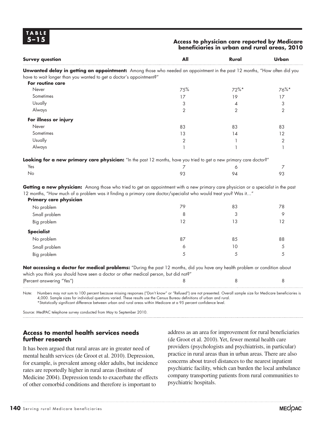#### **5–15 Access to physician care reported by Medicare beneficiaries in urban and rural areas, 2010**

| <b>Survey question</b>                                                                                                                                                                                  | All | Rural          | Urban          |
|---------------------------------------------------------------------------------------------------------------------------------------------------------------------------------------------------------|-----|----------------|----------------|
| <b>Unwanted delay in getting an appointment:</b> Among those who needed an appointment in the past 12 months, "How often did you<br>have to wait longer than you wanted to get a doctor's appointment?" |     |                |                |
| For routine care                                                                                                                                                                                        |     |                |                |
| Never                                                                                                                                                                                                   | 75% | $72\%$ *       | $76\%$ *       |
| Sometimes                                                                                                                                                                                               | 17  | 19             | 17             |
| Usually                                                                                                                                                                                                 | 3   | 4              | 3              |
| Always                                                                                                                                                                                                  | 2   | $\overline{2}$ | $\overline{2}$ |
| For illness or injury                                                                                                                                                                                   |     |                |                |
| Never                                                                                                                                                                                                   | 83  | 83             | 83             |
| Sometimes                                                                                                                                                                                               | 13  | 14             | 12             |
| Usually                                                                                                                                                                                                 | 2   |                | 2              |
| Always                                                                                                                                                                                                  |     |                |                |
| Looking for a new primary care physician: "In the past 12 months, have you tried to get a new primary care doctor?"                                                                                     |     |                |                |
| Yes                                                                                                                                                                                                     |     | 6              |                |
| No                                                                                                                                                                                                      | 93  | 94             | 93             |
| Getting a new physician: Among those who tried to get an appointment with a new primary care physician or a specialist in the past                                                                      |     |                |                |
| 12 months, "How much of a problem was it finding a primary care doctor/specialist who would treat you? Was it"<br>Primary care physician                                                                |     |                |                |

| .                 |    |    |    |
|-------------------|----|----|----|
| No problem        | 79 | 83 | 78 |
| Small problem     | 8  | 3  | Q  |
| Big problem       | 12 | 13 | 12 |
| <b>Specialist</b> |    |    |    |
| No problem        | 87 | 85 | 88 |
| Small problem     | 6  | 10 | 5  |
| Big problem       | 5  | 5  | 5  |
|                   |    |    |    |

**Not accessing a doctor for medical problems:** "During the past 12 months, did you have any health problem or condition about which you think you should have seen a doctor or other medical person, but did not?" (Percent answering "Yes") 8 8 8

Note: Numbers may not sum to 100 percent because missing responses ("Don't know" or "Refused") are not presented. Overall sample size for Medicare beneficiaries is 4,000. Sample sizes for individual questions varied. These results use the Census Bureau definitions of urban and rural. \*Statistically significant difference between urban and rural areas within Medicare at a 95 percent confidence level.

Source: MedPAC telephone survey conducted from May to September 2010.

### **Access to mental health services needs further research**

It has been argued that rural areas are in greater need of mental health services (de Groot et al. 2010). Depression, for example, is prevalent among older adults, but incidence rates are reportedly higher in rural areas (Institute of Medicine 2004). Depression tends to exacerbate the effects of other comorbid conditions and therefore is important to

address as an area for improvement for rural beneficiaries (de Groot et al. 2010). Yet, fewer mental health care providers (psychologists and psychiatrists, in particular) practice in rural areas than in urban areas. There are also concerns about travel distances to the nearest inpatient psychiatric facility, which can burden the local ambulance company transporting patients from rural communities to psychiatric hospitals.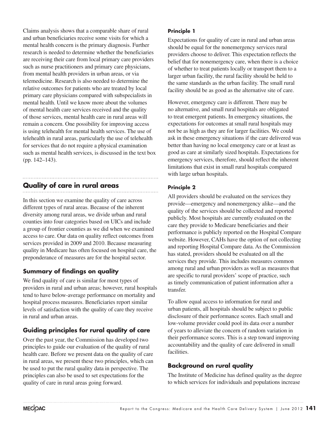Claims analysis shows that a comparable share of rural and urban beneficiaries receive some visits for which a mental health concern is the primary diagnosis. Further research is needed to determine whether the beneficiaries are receiving their care from local primary care providers such as nurse practitioners and primary care physicians, from mental health providers in urban areas, or via telemedicine. Research is also needed to determine the relative outcomes for patients who are treated by local primary care physicians compared with subspecialists in mental health. Until we know more about the volumes of mental health care services received and the quality of those services, mental health care in rural areas will remain a concern. One possibility for improving access is using telehealth for mental health services. The use of telehealth in rural areas, particularly the use of telehealth for services that do not require a physical examination such as mental health services, is discussed in the text box (pp. 142–143).

# **Quality of care in rural areas**

In this section we examine the quality of care across different types of rural areas. Because of the inherent diversity among rural areas, we divide urban and rural counties into four categories based on UICs and include a group of frontier counties as we did when we examined access to care. Our data on quality reflect outcomes from services provided in 2009 and 2010. Because measuring quality in Medicare has often focused on hospital care, the preponderance of measures are for the hospital sector.

# **Summary of findings on quality**

We find quality of care is similar for most types of providers in rural and urban areas; however, rural hospitals tend to have below-average performance on mortality and hospital process measures. Beneficiaries report similar levels of satisfaction with the quality of care they receive in rural and urban areas.

# **Guiding principles for rural quality of care**

Over the past year, the Commission has developed two principles to guide our evaluation of the quality of rural health care. Before we present data on the quality of care in rural areas, we present these two principles, which can be used to put the rural quality data in perspective. The principles can also be used to set expectations for the quality of care in rural areas going forward.

### **Principle 1**

Expectations for quality of care in rural and urban areas should be equal for the nonemergency services rural providers choose to deliver. This expectation reflects the belief that for nonemergency care, when there is a choice of whether to treat patients locally or transport them to a larger urban facility, the rural facility should be held to the same standards as the urban facility. The small rural facility should be as good as the alternative site of care.

However, emergency care is different. There may be no alternative, and small rural hospitals are obligated to treat emergent patients. In emergency situations, the expectations for outcomes at small rural hospitals may not be as high as they are for larger facilities. We could ask in these emergency situations if the care delivered was better than having no local emergency care or at least as good as care at similarly sized hospitals. Expectations for emergency services, therefore, should reflect the inherent limitations that exist in small rural hospitals compared with large urban hospitals.

### **Principle 2**

All providers should be evaluated on the services they provide—emergency and nonemergency alike—and the quality of the services should be collected and reported publicly. Most hospitals are currently evaluated on the care they provide to Medicare beneficiaries and their performance is publicly reported on the Hospital Compare website. However, CAHs have the option of not collecting and reporting Hospital Compare data. As the Commission has stated, providers should be evaluated on all the services they provide. This includes measures common among rural and urban providers as well as measures that are specific to rural providers' scope of practice, such as timely communication of patient information after a transfer.

To allow equal access to information for rural and urban patients, all hospitals should be subject to public disclosure of their performance scores. Each small and low-volume provider could pool its data over a number of years to alleviate the concern of random variation in their performance scores. This is a step toward improving accountability and the quality of care delivered in small facilities.

# **Background on rural quality**

The Institute of Medicine has defined quality as the degree to which services for individuals and populations increase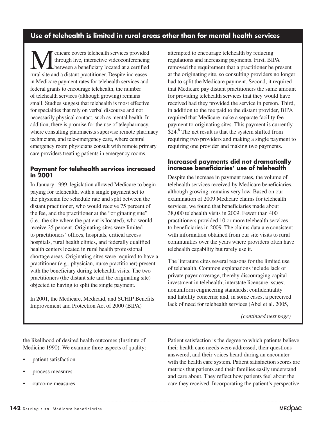# **Use of telehealth is limited in rural areas other than for mental health services**

Medicare covers telehealth services provided<br>through live, interactive videoconferencing<br>between a beneficiary located at a certified<br>rural site and a distant practitionar. Despite increases through live, interactive videoconferencing between a beneficiary located at a certified rural site and a distant practitioner. Despite increases in Medicare payment rates for telehealth services and federal grants to encourage telehealth, the number of telehealth services (although growing) remains small. Studies suggest that telehealth is most effective for specialties that rely on verbal discourse and not necessarily physical contact, such as mental health. In addition, there is promise for the use of telepharmacy, where consulting pharmacists supervise remote pharmacy technicians, and tele-emergency care, where central emergency room physicians consult with remote primary care providers treating patients in emergency rooms.

### **Payment for telehealth services increased in 2001**

In January 1999, legislation allowed Medicare to begin paying for telehealth, with a single payment set to the physician fee schedule rate and split between the distant practitioner, who would receive 75 percent of the fee, and the practitioner at the "originating site" (i.e., the site where the patient is located), who would receive 25 percent. Originating sites were limited to practitioners' offices, hospitals, critical access hospitals, rural health clinics, and federally qualified health centers located in rural health professional shortage areas. Originating sites were required to have a practitioner (e.g., physician, nurse practitioner) present with the beneficiary during telehealth visits. The two practitioners (the distant site and the originating site) objected to having to split the single payment.

In 2001, the Medicare, Medicaid, and SCHIP Benefits Improvement and Protection Act of 2000 (BIPA)

attempted to encourage telehealth by reducing regulations and increasing payments. First, BIPA removed the requirement that a practitioner be present at the originating site, so consulting providers no longer had to split the Medicare payment. Second, it required that Medicare pay distant practitioners the same amount for providing telehealth services that they would have received had they provided the service in person. Third, in addition to the fee paid to the distant provider, BIPA required that Medicare make a separate facility fee payment to originating sites. This payment is currently \$24.<sup>8</sup> The net result is that the system shifted from requiring two providers and making a single payment to requiring one provider and making two payments.

### **Increased payments did not dramatically increase beneficiaries' use of telehealth**

Despite the increase in payment rates, the volume of telehealth services received by Medicare beneficiaries, although growing, remains very low. Based on our examination of 2009 Medicare claims for telehealth services, we found that beneficiaries made about 38,000 telehealth visits in 2009. Fewer than 400 practitioners provided 10 or more telehealth services to beneficiaries in 2009. The claims data are consistent with information obtained from our site visits to rural communities over the years where providers often have telehealth capability but rarely use it.

The literature cites several reasons for the limited use of telehealth. Common explanations include lack of private payer coverage, thereby discouraging capital investment in telehealth; interstate licensure issues; nonuniform engineering standards; confidentiality and liability concerns; and, in some cases, a perceived lack of need for telehealth services (Abel et al. 2005,

*(continued next page)*

the likelihood of desired health outcomes (Institute of Medicine 1990). We examine three aspects of quality:

- patient satisfaction
- process measures
- outcome measures

Patient satisfaction is the degree to which patients believe their health care needs were addressed, their questions answered, and their voices heard during an encounter with the health care system. Patient satisfaction scores are metrics that patients and their families easily understand and care about. They reflect how patients feel about the care they received. Incorporating the patient's perspective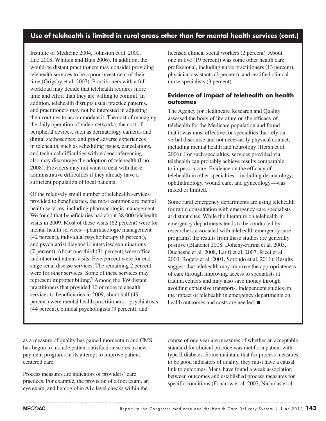# **Use of telehealth is limited in rural areas other than for mental health services (cont.)**

Institute of Medicine 2004, Johnston et al. 2000, Luo 2008, Whitten and Buis 2006). In addition, the would-be distant practitioners may consider providing telehealth services to be a poor investment of their time (Grigsby et al. 2007). Practitioners with a full workload may decide that telehealth requires more time and effort than they are willing to commit. In addition, telehealth disrupts usual practice patterns, and practitioners may not be interested in adjusting their routines to accommodate it. The cost of managing the daily operation of video networks; the cost of peripheral devices, such as dermatology cameras and digital stethoscopes; and prior adverse experiences in telehealth, such as scheduling issues, cancelations, and technical difficulties with videoconferencing, also may discourage the adoption of telehealth (Luo 2008). Providers may not want to deal with these administrative difficulties if they already have a sufficient population of local patients.

Of the relatively small number of telehealth services provided to beneficiaries, the most common are mental health services, including pharmacologic management. We found that beneficiaries had about 38,000 telehealth visits in 2009. Most of these visits (62 percent) were for mental health services—pharmacologic management (42 percent), individual psychotherapy (8 percent), and psychiatrist diagnostic interview examinations (7 percent). About one-third (31 percent) were office and other outpatient visits. Five percent were for endstage renal disease services. The remaining 2 percent were for other services. Some of these services may represent improper billing.<sup>9</sup> Among the 369 distant practitioners that provided 10 or more telehealth services to beneficiaries in 2009, about half (49 percent) were mental health practitioners—psychiatrists (44 percent), clinical psychologists (3 percent), and

licensed clinical social workers (2 percent). About one in five (19 percent) was some other health care professional, including nurse practitioners (13 percent), physician assistants (3 percent), and certified clinical nurse specialists (3 percent).

### **Evidence of impact of telehealth on health outcomes**

The Agency for Healthcare Research and Quality assessed the body of literature on the efficacy of telehealth for the Medicare population and found that it was most effective for specialties that rely on verbal discourse and not necessarily physical contact, including mental health and neurology (Hersh et al. 2006). For such specialties, services provided via telehealth can probably achieve results comparable to in-person care. Evidence on the efficacy of telehealth in other specialties—including dermatology, ophthalmology, wound care, and gynecology—was mixed or limited.

Some rural emergency departments are using telehealth for rapid consultation with emergency care specialists at distant sites. While the literature on telehealth in emergency departments tends to be conducted by researchers associated with telehealth emergency care programs, the results from these studies are generally positive (Blanchet 2008, Doheny-Farina et al. 2003, Duchesne et al. 2008, Latifi et al. 2007, Ricci et al. 2003, Rogers et al. 2001, Sorondo et al. 2011). Results suggest that telehealth may improve the appropriateness of care through improving access to specialists at trauma centers and may also save money through avoiding expensive transports. Independent studies on the impact of telehealth in emergency departments on health outcomes and costs are needed. ■

as a measure of quality has gained momentum and CMS has begun to include patient satisfaction scores in new payment programs in its attempt to improve patientcentered care.

Process measures are indicators of providers' care practices. For example, the provision of a foot exam, an eye exam, and hemoglobin A1c level checks within the

course of one year are measures of whether an acceptable standard for clinical practice was met for a patient with type II diabetes. Some maintain that for process measures to be good indicators of quality, they must have a causal link to outcomes. Many have found a weak association between outcomes and established process measures for specific conditions (Fonarow et al. 2007, Nicholas et al.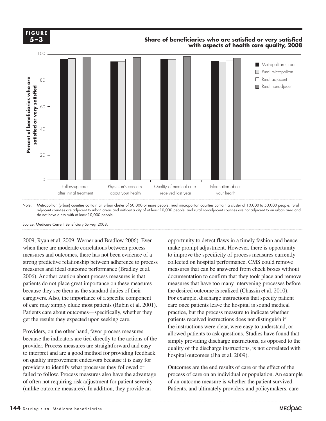

**Share of beneficiaries....**



Note: Metropolitan (urban) counties contain an urban cluster of 50,000 or more people, rural micropolitan counties contain a cluster of 10,000 to 50,000 people, rural adjacent counties are adjacent to urban areas and without a city of at least 10,000 people, and rural nonadjacent counties are not adjacent to an urban area and do not have a city with at least 10,000 people.

Source: Medicare Current Beneficiary Survey, 2008.

**FIGURE 5-3 F igur e**

**5–3**

2009, Ryan et al. 2009, Werner and Bradlow 2006). Even when there are moderate correlations between process measures and outcomes, there has not been evidence of a strong predictive relationship between adherence to process measures and ideal outcome performance (Bradley et al. 2006). Another caution about process measures is that patients do not place great importance on these measures because they see them as the standard duties of their the desired of the desired. caregivers. Also, the importance of a specific component of care may simply elude most patients (Rubin et al. 2001). care once patients lea Patients care about outcomes—specifically, whether they get the results they expected upon seeking care.

Providers, on the other hand, favor process measures allowed patients to sek because the indicators are tied directly to the actions of the provider. Process measures are straightforward and easy to interpret and are a good method for providing feedback  $\frac{1}{2}$  mosph on quality improvement endeavors because it is easy for providers to identify what processes they followed or **Cultiple 2007** Cutcomes are the end results of care of failed to follow. Process measures also have the advantage of often not requiring risk adjustment for patient severity (unlike outcome measures). In addition, they provide an

opportunity to detect flaws in a timely fashion and hence make prompt adjustment. However, there is opportunity to improve the specificity of process measures currently collected on hospital performance. CMS could remove measures that can be answered from check boxes without documentation to confirm that they took place and remove measures that have too many intervening processes before the desired outcome is realized (Chassin et al. 2010). For example, discharge instructions that specify patient care once patients leave the hospital is sound medical practice, but the process measure to indicate whether results they expected upon seeking care. patients received instructions does not distinguish if the instructions were clear, were easy to understand, or allowed patients to ask questions. Studies have found that the indicators are tied directly to the actions of the simply providing discharge instructions, as opposed to the quality of the discharge instructions, is not correlated with hospital outcomes (Jha et al. 2009).

> Outcomes are the end results of care or the effect of the process of care on an individual or population. An example of an outcome measure is whether the patient survived. Patients, and ultimately providers and policymakers, care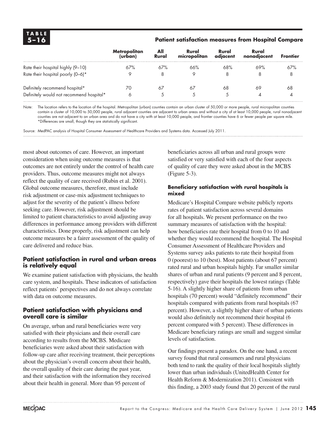### **5–16 Patient satisfaction measures from Hospital Compare**

|                                          | <b>Metropolitan</b><br>(urban) | All<br>Rural | Rural<br>micropolitan | Rural<br>adiacent | Rural<br>nonadjacent | <b>Frontier</b> |
|------------------------------------------|--------------------------------|--------------|-----------------------|-------------------|----------------------|-----------------|
| Rate their hospital highly (9-10)        | 67%                            | 67%          | 66%                   | 68%               | 69%                  | 67%             |
| Rate their hospital poorly (0-6)*        | 9                              |              |                       | 8                 |                      | 8               |
| Definitely recommend hospital*           | 70                             | 67           | 67                    | 68                | 69                   | 68              |
| Definitely would not recommend hospital* | 6                              |              |                       | 5.                |                      |                 |

Note: The location refers to the location of the hospital. Metropolitan (urban) counties contain an urban cluster of 50,000 or more people, rural micropolitan counties contain a cluster of 10,000 to 50,000 people, rural adjacent counties are adjacent to urban areas and without a city of at least 10,000 people, rural nonadjacent counties are not adjacent to an urban area and do not have a city with at least 10,000 people, and frontier counties have 6 or fewer people per square mile. \*Differences are small, though they are statistically significant.

Source: MedPAC analysis of Hospital Consumer Assessment of Healthcare Providers and Systems data. Accessed July 2011.

most about outcomes of care. However, an important consideration when using outcome measures is that outcomes are not entirely under the control of health care providers. Thus, outcome measures might not always reflect the quality of care received (Rubin et al. 2001). Global outcome measures, therefore, must include risk adjustment or case-mix adjustment techniques to adjust for the severity of the patient's illness before seeking care. However, risk adjustment should be limited to patient characteristics to avoid adjusting away differences in performance among providers with different characteristics. Done properly, risk adjustment can help outcome measures be a fairer assessment of the quality of care delivered and reduce bias.

### **Patient satisfaction in rural and urban areas is relatively equal**

We examine patient satisfaction with physicians, the health care system, and hospitals. These indicators of satisfaction reflect patients' perspectives and do not always correlate with data on outcome measures.

### **Patient satisfaction with physicians and overall care is similar**

On average, urban and rural beneficiaries were very satisfied with their physicians and their overall care according to results from the MCBS. Medicare beneficiaries were asked about their satisfaction with follow-up care after receiving treatment, their perceptions about the physician's overall concern about their health, the overall quality of their care during the past year, and their satisfaction with the information they received about their health in general. More than 95 percent of

beneficiaries across all urban and rural groups were satisfied or very satisfied with each of the four aspects of quality of care they were asked about in the MCBS (Figure 5-3).

### **Beneficiary satisfaction with rural hospitals is mixed**

Medicare's Hospital Compare website publicly reports rates of patient satisfaction across several domains for all hospitals. We present performance on the two summary measures of satisfaction with the hospital: how beneficiaries rate their hospital from 0 to 10 and whether they would recommend the hospital. The Hospital Consumer Assessment of Healthcare Providers and Systems survey asks patients to rate their hospital from 0 (poorest) to 10 (best). Most patients (about 67 percent) rated rural and urban hospitals highly. Far smaller similar shares of urban and rural patients (9 percent and 8 percent, respectively) gave their hospitals the lowest ratings (Table 5-16). A slightly higher share of patients from urban hospitals (70 percent) would "definitely recommend" their hospitals compared with patients from rural hospitals (67 percent). However, a slightly higher share of urban patients would also definitely not recommend their hospital (6 percent compared with 5 percent). These differences in Medicare beneficiary ratings are small and suggest similar levels of satisfaction.

Our findings present a paradox. On the one hand, a recent survey found that rural consumers and rural physicians both tend to rank the quality of their local hospitals slightly lower than urban individuals (UnitedHealth Center for Health Reform & Modernization 2011). Consistent with this finding, a 2003 study found that 20 percent of the rural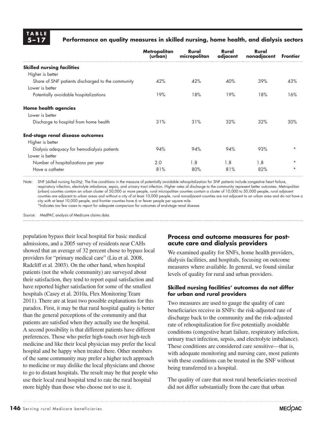

### **5–17 Performance on quality measures in skilled nursing, home health, and dialysis sectors**

|                                                   | <b>Metropolitan</b><br>(urban) | Rural<br>micropolitan | Rural<br>adjacent | Rural<br>nonadjacent | <b>Frontier</b> |
|---------------------------------------------------|--------------------------------|-----------------------|-------------------|----------------------|-----------------|
| <b>Skilled nursing facilities</b>                 |                                |                       |                   |                      |                 |
| Higher is better                                  |                                |                       |                   |                      |                 |
| Share of SNF patients discharged to the community | 42%                            | 42%                   | 40%               | 39%                  | 43%             |
| Lower is better                                   |                                |                       |                   |                      |                 |
| Potentially avoidable hospitalizations            | 19%                            | 18%                   | 19%               | 18%                  | 16%             |
| <b>Home health agencies</b>                       |                                |                       |                   |                      |                 |
| Lower is better                                   |                                |                       |                   |                      |                 |
| Discharge to hospital from home health            | 31%                            | 31%                   | 32%               | 32%                  | 30%             |
| <b>End-stage renal disease outcomes</b>           |                                |                       |                   |                      |                 |
| Higher is better                                  |                                |                       |                   |                      |                 |
| Dialysis adequacy for hemodialysis patients       | 94%                            | 94%                   | 94%               | 93%                  | $\star$         |
| Lower is better                                   |                                |                       |                   |                      |                 |
| Number of hospitalizations per year               | 2.0                            | 1.8                   | 1.8               | 1.8                  | $\star$         |
| Have a catheter                                   | 81%                            | 80%                   | 81%               | 82%                  | $\star$         |

Note: SNF (skilled nursing facility). The five conditions in the measure of potentially avoidable rehospitalization for SNF patients include congestive heart failure, respiratory infection, electrolyte imbalance, sepsis, and urinary tract infection. Higher rates of discharge to the community represent better outcomes. Metropolitan (urban) counties contain an urban cluster of 50,000 or more people, rural micropolitan counties contain a cluster of 10,000 to 50,000 people, rural adjacent counties are adjacent to urban areas and without a city of at least 10,000 people, rural nonadjacent counties are not adjacent to an urban area and do not have a city with at least 10,000 people, and frontier counties have 6 or fewer people per square mile.

\*Indicates too few cases to report for adequate comparison for outcomes of end-stage renal disease.

Source: MedPAC analysis of Medicare claims data.

population bypass their local hospital for basic medical admissions, and a 2005 survey of residents near CAHs showed that an average of 32 percent chose to bypass local providers for "primary medical care" (Liu et al. 2008, Radcliff et al. 2003). On the other hand, when hospital patients (not the whole community) are surveyed about their satisfaction, they tend to report equal satisfaction and have reported higher satisfaction for some of the smallest hospitals (Casey et al. 2010a, Flex Monitoring Team 2011). There are at least two possible explanations for this paradox. First, it may be that rural hospital quality is better than the general perceptions of the community and that patients are satisfied when they actually use the hospital. A second possibility is that different patients have different preferences. Those who prefer high-touch over high-tech medicine and like their local physician may prefer the local hospital and be happy when treated there. Other members of the same community may prefer a higher tech approach to medicine or may dislike the local physicians and choose to go to distant hospitals. The result may be that people who use their local rural hospital tend to rate the rural hospital more highly than those who choose not to use it.

### **Process and outcome measures for postacute care and dialysis providers**

We examined quality for SNFs, home health providers, dialysis facilities, and hospitals, focusing on outcome measures where available. In general, we found similar levels of quality for rural and urban providers.

#### **Skilled nursing facilities' outcomes do not differ for urban and rural providers**

Two measures are used to gauge the quality of care beneficiaries receive in SNFs: the risk-adjusted rate of discharge back to the community and the risk-adjusted rate of rehospitalization for five potentially avoidable conditions (congestive heart failure, respiratory infection, urinary tract infection, sepsis, and electrolyte imbalance). These conditions are considered care sensitive—that is, with adequate monitoring and nursing care, most patients with these conditions can be treated in the SNF without being transferred to a hospital.

The quality of care that most rural beneficiaries received did not differ substantially from the care that urban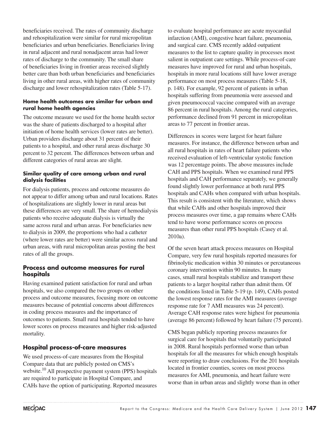beneficiaries received. The rates of community discharge and rehospitalization were similar for rural micropolitan beneficiaries and urban beneficiaries. Beneficiaries living in rural adjacent and rural nonadjacent areas had lower rates of discharge to the community. The small share of beneficiaries living in frontier areas received slightly better care than both urban beneficiaries and beneficiaries living in other rural areas, with higher rates of community discharge and lower rehospitalization rates (Table 5-17).

### **Home health outcomes are similar for urban and rural home health agencies**

The outcome measure we used for the home health sector was the share of patients discharged to a hospital after initiation of home health services (lower rates are better). Urban providers discharge about 31 percent of their patients to a hospital, and other rural areas discharge 30 percent to 32 percent. The differences between urban and different categories of rural areas are slight.

### **Similar quality of care among urban and rural dialysis facilities**

For dialysis patients, process and outcome measures do not appear to differ among urban and rural locations. Rates of hospitalizations are slightly lower in rural areas but these differences are very small. The share of hemodialysis patients who receive adequate dialysis is virtually the same across rural and urban areas. For beneficiaries new to dialysis in 2009, the proportions who had a catheter (where lower rates are better) were similar across rural and urban areas, with rural micropolitan areas posting the best rates of all the groups.

### **Process and outcome measures for rural hospitals**

Having examined patient satisfaction for rural and urban hospitals, we also compared the two groups on other process and outcome measures, focusing more on outcome measures because of potential concerns about differences in coding process measures and the importance of outcomes to patients. Small rural hospitals tended to have lower scores on process measures and higher risk-adjusted mortality.

# **Hospital process-of-care measures**

We used process-of-care measures from the Hospital Compare data that are publicly posted on CMS's website.<sup>10</sup> All prospective payment system (PPS) hospitals are required to participate in Hospital Compare, and CAHs have the option of participating. Reported measures to evaluate hospital performance are acute myocardial infarction (AMI), congestive heart failure, pneumonia, and surgical care. CMS recently added outpatient measures to the list to capture quality in processes most salient in outpatient care settings. While process-of-care measures have improved for rural and urban hospitals, hospitals in more rural locations still have lower average performance on most process measures (Table 5-18, p. 148). For example, 92 percent of patients in urban hospitals suffering from pneumonia were assessed and given pneumococcal vaccine compared with an average 86 percent in rural hospitals. Among the rural categories, performance declined from 91 percent in micropolitan areas to 77 percent in frontier areas.

Differences in scores were largest for heart failure measures. For instance, the difference between urban and all rural hospitals in rates of heart failure patients who received evaluation of left-ventricular systolic function was 12 percentage points. The above measures include CAH and PPS hospitals. When we examined rural PPS hospitals and CAH performance separately, we generally found slightly lower performance at both rural PPS hospitals and CAHs when compared with urban hospitals. This result is consistent with the literature, which shows that while CAHs and other hospitals improved their process measures over time, a gap remains where CAHs tend to have worse performance scores on process measures than other rural PPS hospitals (Casey et al. 2010a).

Of the seven heart attack process measures on Hospital Compare, very few rural hospitals reported measures for fibrinolytic medication within 30 minutes or percutaneous coronary intervention within 90 minutes. In many cases, small rural hospitals stabilize and transport these patients to a larger hospital rather than admit them. Of the conditions listed in Table 5-19 (p. 149), CAHs posted the lowest response rates for the AMI measures (average response rate for 7 AMI measures was 24 percent). Average CAH response rates were highest for pneumonia (average 86 percent) followed by heart failure (75 percent).

CMS began publicly reporting process measures for surgical care for hospitals that voluntarily participated in 2008. Rural hospitals performed worse than urban hospitals for all the measures for which enough hospitals were reporting to draw conclusions. For the 201 hospitals located in frontier counties, scores on most process measures for AMI, pneumonia, and heart failure were worse than in urban areas and slightly worse than in other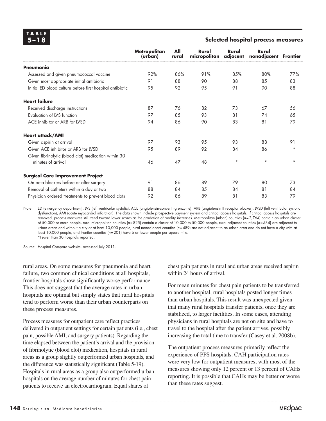| TABLE |     |  |
|-------|-----|--|
|       | 4F∴ |  |

#### **5–18 Selected hospital process measures**

|                                                           | <b>Metropolitan</b><br>(urban) | All<br>rural | Rural<br>micropolitan | Rural<br>adjacent | Rural<br>nonadjacent | <b>Frontier</b> |
|-----------------------------------------------------------|--------------------------------|--------------|-----------------------|-------------------|----------------------|-----------------|
| Pneumonia                                                 |                                |              |                       |                   |                      |                 |
| Assessed and given pneumococcal vaccine                   | 92%                            | 86%          | 91%                   | 85%               | 80%                  | 77%             |
| Given most appropriate initial antibiotic                 | 91                             | 88           | 90                    | 88                | 85                   | 83              |
| Initial ED blood culture before first hospital antibiotic | 95                             | 92           | 95                    | 91                | 90                   | 88              |
| <b>Heart failure</b>                                      |                                |              |                       |                   |                      |                 |
| Received discharge instructions                           | 87                             | 76           | 82                    | 73                | 67                   | 56              |
| Evaluation of LVS function                                | 97                             | 85           | 93                    | 81                | 74                   | 65              |
| ACE inhibitor or ARB for LVSD                             | 94                             | 86           | 90                    | 83                | 81                   | 79              |
| <b>Heart attack/AMI</b>                                   |                                |              |                       |                   |                      |                 |
| Given aspirin at arrival                                  | 97                             | 93           | 95                    | 93                | 88                   | 91              |
| Given ACE inhibitor or ARB for LVSD                       | 95                             | 89           | 92                    | 84                | 86                   | $\star$         |
| Given fibrinolytic (blood clot) medication within 30      |                                |              |                       |                   |                      |                 |
| minutes of arrival                                        | 46                             | 47           | 48                    | $\star$           | $\star$              | $\star$         |
| <b>Surgical Care Improvement Project</b>                  |                                |              |                       |                   |                      |                 |
| On beta blockers before or after surgery                  | 91                             | 86           | 89                    | 79                | 80                   | 73              |
| Removal of catheters within a day or two                  | 88                             | 84           | 85                    | 84                | 81                   | 84              |
| Physician ordered treatments to prevent blood clots       | 92                             | 86           | 89                    | 81                | 83                   | 79              |

Note: ED (emergency department), LVS (left ventricular systolic), ACE (angiotensin-converting enzyme), ARB (angiotensin II receptor blocker), LVSD (left ventricular systolic dysfunction), AMI (acute myocardial infarction). The data shown include prospective payment system and critical access hospitals; if critical access hospitals are removed, process measures still trend toward lower scores as the gradation of rurality increases. Metropolitan (urban) counties (*n*=2,764) contain an urban cluster of 50,000 or more people, rural micropolitan counties (*n*=825) contain a cluster of 10,000 to 50,000 people, rural adjacent counties (*n*=534) are adjacent to urban areas and without a city of at least 10,000 people, rural nonadjacent counties (*n*=489) are not adjacent to an urban area and do not have a city with at least 10,000 people, and frontier counties (*n*=201) have 6 or fewer people per square mile. \*Fewer than 30 hospitals reported.

Source: Hospital Compare website, accessed July 2011.

rural areas. On some measures for pneumonia and heart failure, two common clinical conditions at all hospitals, frontier hospitals show significantly worse performance. This does not suggest that the average rates in urban hospitals are optimal but simply states that rural hospitals tend to perform worse than their urban counterparts on these process measures.

Process measures for outpatient care reflect practices delivered in outpatient settings for certain patients (i.e., chest pain, possible AMI, and surgery patients). Regarding the time elapsed between the patient's arrival and the provision of fibrinolytic (blood clot) medication, hospitals in rural areas as a group slightly outperformed urban hospitals, and the difference was statistically significant (Table 5-19). Hospitals in rural areas as a group also outperformed urban hospitals on the average number of minutes for chest pain patients to receive an electrocardiogram. Equal shares of

chest pain patients in rural and urban areas received aspirin within 24 hours of arrival.

For mean minutes for chest pain patients to be transferred to another hospital, rural hospitals posted longer times than urban hospitals. This result was unexpected given that many rural hospitals transfer patients, once they are stabilized, to larger facilities. In some cases, attending physicians in rural hospitals are not on site and have to travel to the hospital after the patient arrives, possibly increasing the total time to transfer (Casey et al. 2008b).

The outpatient process measures primarily reflect the experience of PPS hospitals. CAH participation rates were very low for outpatient measures, with most of the measures showing only 12 percent or 13 percent of CAHs reporting. It is possible that CAHs may be better or worse than these rates suggest.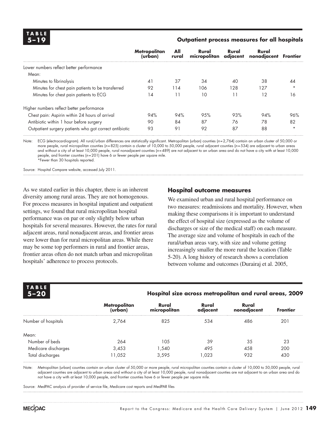**TA B L E**

#### **5–19 Outpatient process measures for all hospitals**

|                                                        | <b>Metropolitan</b><br>(urban) | All<br>rural | Rural<br>micropolitan adjacent | Rural | Rural<br>nonadjacent Frontier |         |
|--------------------------------------------------------|--------------------------------|--------------|--------------------------------|-------|-------------------------------|---------|
| Lower numbers reflect better performance               |                                |              |                                |       |                               |         |
| Mean:                                                  |                                |              |                                |       |                               |         |
| Minutes to fibrinolysis                                | 41                             | 37           | 34                             | 40    | 38                            | 44      |
| Minutes for chest pain patients to be transferred      | 92                             | 114          | 106                            | 128   | 127                           | $\star$ |
| Minutes for chest pain patients to ECG                 | 14                             | 11           | 10                             | 11    | 12                            | 16      |
| Higher numbers reflect better performance              |                                |              |                                |       |                               |         |
| Chest pain: Aspirin within 24 hours of arrival         | 94%                            | 94%          | 95%                            | 93%   | 94%                           | 96%     |
| Antibiotic within 1 hour before surgery                | 90                             | 84           | 87                             | 76    | 78                            | 82      |
| Outpatient surgery patients who got correct antibiotic | 93                             | 91           | 92                             | 87    | 88                            | $\star$ |

Note: ECG (electrocardiogram). All rural/urban differences are statistically significant. Metropolitan (urban) counties (*n*=2,764) contain an urban cluster of 50,000 or more people, rural micropolitan counties (*n*=825) contain a cluster of 10,000 to 50,000 people, rural adjacent counties (*n*=534) are adjacent to urban areas and without a city of at least 10,000 people, rural nonadjacent counties (*n*=489) are not adjacent to an urban area and do not have a city with at least 10,000 people, and frontier counties (*n*=201) have 6 or fewer people per square mile. \*Fewer than 30 hospitals reported.

Source: Hospital Compare website, accessed July 2011.

As we stated earlier in this chapter, there is an inherent diversity among rural areas. They are not homogenous. For process measures in hospital inpatient and outpatient settings, we found that rural micropolitan hospital performance was on par or only slightly below urban hospitals for several measures. However, the rates for rural adjacent areas, rural nonadjacent areas, and frontier areas were lower than for rural micropolitan areas. While there may be some top performers in rural and frontier areas, frontier areas often do not match urban and micropolitan hospitals' adherence to process protocols.

### **Hospital outcome measures**

We examined urban and rural hospital performance on two measures: readmissions and mortality. However, when making these comparisons it is important to understand the effect of hospital size (expressed as the volume of discharges or size of the medical staff) on each measure. The average size and volume of hospitals in each of the rural/urban areas vary, with size and volume getting increasingly smaller the more rural the location (Table 5-20). A long history of research shows a correlation between volume and outcomes (Durairaj et al. 2005,

| <b>TABLE</b><br>$5 - 20$ | Hospital size across metropolitan and rural areas, 2009 |                       |                   |                      |                 |  |  |  |
|--------------------------|---------------------------------------------------------|-----------------------|-------------------|----------------------|-----------------|--|--|--|
|                          | <b>Metropolitan</b><br>(urban)                          | Rural<br>micropolitan | Rural<br>adjacent | Rural<br>nonadjacent | <b>Frontier</b> |  |  |  |
| Number of hospitals      | 2.764                                                   | 825                   | 534               | 486                  | 201             |  |  |  |
| Mean:                    |                                                         |                       |                   |                      |                 |  |  |  |
| Number of beds           | 264                                                     | 105                   | 39                | 35                   | 23              |  |  |  |
| Medicare discharges      | 3,453                                                   | 1,540                 | 495               | 458                  | 200             |  |  |  |
| Total discharges         | 1,052                                                   | 3,595                 | .023              | 932                  | 430             |  |  |  |

Note: Metropolitan (urban) counties contain an urban cluster of 50,000 or more people, rural micropolitan counties contain a cluster of 10,000 to 50,000 people, rural adjacent counties are adjacent to urban areas and without a city of at least 10,000 people, rural nonadjacent counties are not adjacent to an urban area and do not have a city with at least 10,000 people, and frontier counties have 6 or fewer people per square mile.

Source: MedPAC analysis of provider of service file, Medicare cost reports and MedPAR files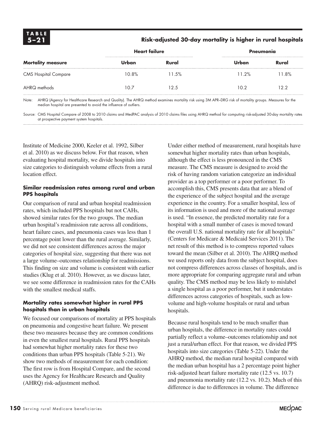### **5–21 Risk-adjusted 30-day mortality is higher in rural hospitals**

|                             | <b>Heart failure</b> |       | Pneumonia |       |
|-----------------------------|----------------------|-------|-----------|-------|
| <b>Mortality measure</b>    | Urban                | Rural | Jrban     | Rural |
| <b>CMS Hospital Compare</b> | 10.8%                | 11.5% | 11 2%     | 11.8% |
| AHRQ methods                | 10.7                 | 12.5  | 10.2      | っっ    |

Note: AHRQ (Agency for Healthcare Research and Quality). The AHRQ method examines mortality risk using 3M APR–DRG risk of mortality groups. Measures for the median hospital are presented to avoid the influence of outliers.

Source: CMS Hospital Compare of 2008 to 2010 claims and MedPAC analysis of 2010 claims files using AHRQ method for computing risk-adjusted 30-day mortality rates at prospective payment system hospitals.

Institute of Medicine 2000, Keeler et al. 1992, Silber et al. 2010) as we discuss below. For that reason, when evaluating hospital mortality, we divide hospitals into size categories to distinguish volume effects from a rural location effect.

#### **Similar readmission rates among rural and urban PPS hospitals**

Our comparison of rural and urban hospital readmission rates, which included PPS hospitals but not CAHs, showed similar rates for the two groups. The median urban hospital's readmission rate across all conditions, heart failure cases, and pneumonia cases was less than 1 percentage point lower than the rural average. Similarly, we did not see consistent differences across the major categories of hospital size, suggesting that there was not a large volume–outcomes relationship for readmissions. This finding on size and volume is consistent with earlier studies (Klug et al. 2010). However, as we discuss later, we see some difference in readmission rates for the CAHs with the smallest medical staffs.

### **Mortality rates somewhat higher in rural PPS hospitals than in urban hospitals**

We focused our comparisons of mortality at PPS hospitals on pneumonia and congestive heart failure. We present these two measures because they are common conditions in even the smallest rural hospitals. Rural PPS hospitals had somewhat higher mortality rates for these two conditions than urban PPS hospitals (Table 5-21). We show two methods of measurement for each condition: The first row is from Hospital Compare, and the second uses the Agency for Healthcare Research and Quality (AHRQ) risk-adjustment method.

Under either method of measurement, rural hospitals have somewhat higher mortality rates than urban hospitals, although the effect is less pronounced in the CMS measure. The CMS measure is designed to avoid the risk of having random variation categorize an individual provider as a top performer or a poor performer. To accomplish this, CMS presents data that are a blend of the experience of the subject hospital and the average experience in the country. For a smaller hospital, less of its information is used and more of the national average is used. "In essence, the predicted mortality rate for a hospital with a small number of cases is moved toward the overall U.S. national mortality rate for all hospitals" (Centers for Medicare & Medicaid Services 2011). The net result of this method is to compress reported values toward the mean (Silber et al. 2010). The AHRQ method we used reports only data from the subject hospital, does not compress differences across classes of hospitals, and is more appropriate for comparing aggregate rural and urban quality. The CMS method may be less likely to mislabel a single hospital as a poor performer, but it understates differences across categories of hospitals, such as lowvolume and high-volume hospitals or rural and urban hospitals.

Because rural hospitals tend to be much smaller than urban hospitals, the difference in mortality rates could partially reflect a volume–outcomes relationship and not just a rural/urban effect. For that reason, we divided PPS hospitals into size categories (Table 5-22). Under the AHRQ method, the median rural hospital compared with the median urban hospital has a 2 percentage point higher risk-adjusted heart failure mortality rate (12.5 vs. 10.7) and pneumonia mortality rate (12.2 vs. 10.2). Much of this difference is due to differences in volume. The difference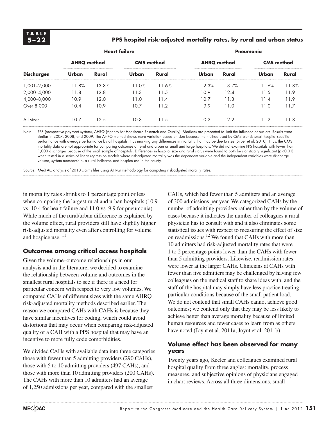### **5–22 PPS hospital risk-adjusted mortality rates, by rural and urban status**

| <b>Discharges</b> | <b>Heart failure</b> |       |                   |       | Pneumonia          |       |                   |       |
|-------------------|----------------------|-------|-------------------|-------|--------------------|-------|-------------------|-------|
|                   | <b>AHRQ method</b>   |       | <b>CMS</b> method |       | <b>AHRQ</b> method |       | <b>CMS</b> method |       |
|                   | Urban                | Rural | Urban             | Rural | Urban              | Rural | Urban             | Rural |
| 1,001-2,000       | 11.8%                | 13.8% | 11.0%             | 11.6% | 12.3%              | 13.7% | 11.6%             | 11.8% |
| 2,000-4,000       | 11.8                 | 12.8  | 11.3              | 11.5  | 10.9               | 12.4  | l 1.5             | 11.9  |
| 4,000-8,000       | 10.9                 | 12.0  | 11.0              | 11.4  | 10.7               | 11.3  | l 1.4             | 11.9  |
| Over 8,000        | 10.4                 | 10.9  | 10.7              | 11.2  | 9.9                | 11.0  | l 1.0             | 11.7  |
| All sizes         | 10.7                 | 12.5  | 10.8              | 11.5  | 10.2               | 12.2  | 11.2              | 11.8  |

Note: PPS (prospective payment system), AHRQ (Agency for Healthcare Research and Quality). Medians are presented to limit the influence of outliers. Results were similar in 2007, 2008, and 2009. The AHRQ method shows more variation based on size because the method used by CMS blends small hospital-specific performance with average performance by all hospitals, thus masking any differences in mortality that may be due to size (Silber et al. 2010). Thus, the CMS mortality data are not appropriate for comparing outcomes at rural and urban or small and large hospitals. We did not examine PPS hospitals with fewer than 1,000 discharges because of the small sample of hospitals. Differences in hospital size and rural status were found to both be statistically significant (*p*<0.01) when tested in a series of linear regression models where risk-adjusted mortality was the dependent variable and the independent variables were discharge volume, system membership, a rural indicator, and hospice use in the county.

Source: MedPAC analysis of 2010 claims files using AHRQ methodology for computing risk-adjusted morality rates.

in mortality rates shrinks to 1 percentage point or less when comparing the largest rural and urban hospitals (10.9 vs. 10.4 for heart failure and 11.0 vs. 9.9 for pneumonia). While much of the rural/urban difference is explained by the volume effect, rural providers still have slightly higher risk-adjusted mortality even after controlling for volume and hospice use.<sup>11</sup>

### **Outcomes among critical access hospitals**

Given the volume–outcome relationships in our analysis and in the literature, we decided to examine the relationship between volume and outcomes in the smallest rural hospitals to see if there is a need for particular concern with respect to very low volumes. We compared CAHs of different sizes with the same AHRQ risk-adjusted mortality methods described earlier. The reason we compared CAHs with CAHs is because they have similar incentives for coding, which could avoid distortions that may occur when comparing risk-adjusted quality of a CAH with a PPS hospital that may have an incentive to more fully code comorbidities.

We divided CAHs with available data into three categories: those with fewer than 5 admitting providers (290 CAHs), those with 5 to 10 admitting providers (497 CAHs), and those with more than 10 admitting providers (200 CAHs). The CAHs with more than 10 admitters had an average of 1,250 admissions per year, compared with the smallest

CAHs, which had fewer than 5 admitters and an average of 300 admissions per year. We categorized CAHs by the number of admitting providers rather than by the volume of cases because it indicates the number of colleagues a rural physician has to consult with and it also eliminates some statistical issues with respect to measuring the effect of size on readmissions.12 We found that CAHs with more than 10 admitters had risk-adjusted mortality rates that were 1 to 2 percentage points lower than the CAHs with fewer than 5 admitting providers. Likewise, readmission rates were lower at the larger CAHs. Clinicians at CAHs with fewer than five admitters may be challenged by having few colleagues on the medical staff to share ideas with, and the staff of the hospital may simply have less practice treating particular conditions because of the small patient load. We do not contend that small CAHs cannot achieve good outcomes; we contend only that they may be less likely to achieve better than average mortality because of limited human resources and fewer cases to learn from as others have noted (Joynt et al. 2011a, Joynt et al. 2011b).

### **Volume effect has been observed for many years**

Twenty years ago, Keeler and colleagues examined rural hospital quality from three angles: mortality, process measures, and subjective opinions of physicians engaged in chart reviews. Across all three dimensions, small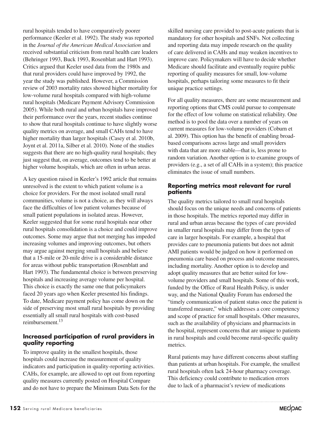rural hospitals tended to have comparatively poorer performance (Keeler et al. 1992). The study was reported in the *Journal of the American Medical Association* and received substantial criticism from rural health care leaders (Behringer 1993, Buck 1993, Rosenblatt and Hart 1993). Critics argued that Keeler used data from the 1980s and that rural providers could have improved by 1992, the year the study was published. However, a Commission review of 2003 mortality rates showed higher mortality for low-volume rural hospitals compared with high-volume rural hospitals (Medicare Payment Advisory Commission 2005). While both rural and urban hospitals have improved their performance over the years, recent studies continue to show that rural hospitals continue to have slightly worse quality metrics on average, and small CAHs tend to have higher mortality than larger hospitals (Casey et al. 2010b, Joynt et al. 2011a, Silber et al. 2010). None of the studies suggests that there are no high-quality rural hospitals; they just suggest that, on average, outcomes tend to be better at higher volume hospitals, which are often in urban areas.

A key question raised in Keeler's 1992 article that remains unresolved is the extent to which patient volume is a choice for providers. For the most isolated small rural communities, volume is not a choice, as they will always face the difficulties of low patient volumes because of small patient populations in isolated areas. However, Keeler suggested that for some rural hospitals near other rural hospitals consolidation is a choice and could improve outcomes. Some may argue that not merging has impeded increasing volumes and improving outcomes, but others may argue against merging small hospitals and believe that a 15-mile or 20-mile drive is a considerable distance for areas without public transportation (Rosenblatt and Hart 1993). The fundamental choice is between preserving hospitals and increasing average volume per hospital. This choice is exactly the same one that policymakers faced 20 years ago when Keeler presented his findings. To date, Medicare payment policy has come down on the side of preserving most small rural hospitals by providing essentially all small rural hospitals with cost-based reimbursement.13

### **Increased participation of rural providers in quality reporting**

To improve quality in the smallest hospitals, those hospitals could increase the measurement of quality indicators and participation in quality-reporting activities. CAHs, for example, are allowed to opt out from reporting quality measures currently posted on Hospital Compare and do not have to prepare the Minimum Data Sets for the skilled nursing care provided to post-acute patients that is mandatory for other hospitals and SNFs. Not collecting and reporting data may impede research on the quality of care delivered in CAHs and may weaken incentives to improve care. Policymakers will have to decide whether Medicare should facilitate and eventually require public reporting of quality measures for small, low-volume hospitals, perhaps tailoring some measures to fit their unique practice settings.

For all quality measures, there are some measurement and reporting options that CMS could pursue to compensate for the effect of low volume on statistical reliability. One method is to pool the data over a number of years on current measures for low-volume providers (Coburn et al. 2009). This option has the benefit of enabling broadbased comparisons across large and small providers with data that are more stable—that is, less prone to random variation. Another option is to examine groups of providers (e.g., a set of all CAHs in a system); this practice eliminates the issue of small numbers.

### **Reporting metrics most relevant for rural patients**

The quality metrics tailored to small rural hospitals should focus on the unique needs and concerns of patients in those hospitals. The metrics reported may differ in rural and urban areas because the types of care provided in smaller rural hospitals may differ from the types of care in larger hospitals. For example, a hospital that provides care to pneumonia patients but does not admit AMI patients would be judged on how it performed on pneumonia care based on process and outcome measures, including mortality. Another option is to develop and adopt quality measures that are better suited for lowvolume providers and small hospitals. Some of this work, funded by the Office of Rural Health Policy, is under way, and the National Quality Forum has endorsed the "timely communication of patient status once the patient is transferred measure," which addresses a core competency and scope of practice for small hospitals. Other measures, such as the availability of physicians and pharmacists in the hospital, represent concerns that are unique to patients in rural hospitals and could become rural-specific quality metrics.

Rural patients may have different concerns about staffing than patients at urban hospitals. For example, the smallest rural hospitals often lack 24-hour pharmacy coverage. This deficiency could contribute to medication errors due to lack of a pharmacist's review of medications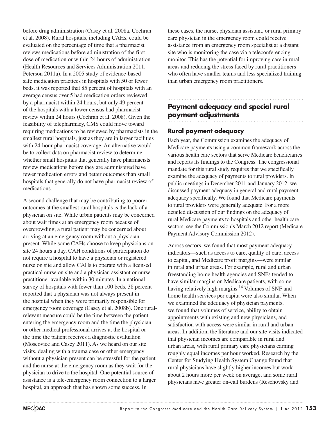before drug administration (Casey et al. 2008a, Cochran et al. 2008). Rural hospitals, including CAHs, could be evaluated on the percentage of time that a pharmacist reviews medications before administration of the first dose of medication or within 24 hours of administration (Health Resources and Services Administration 2011, Peterson 2011a). In a 2005 study of evidence-based safe medication practices in hospitals with 50 or fewer beds, it was reported that 85 percent of hospitals with an average census over 5 had medication orders reviewed by a pharmacist within 24 hours, but only 49 percent of the hospitals with a lower census had pharmacist review within 24 hours (Cochran et al. 2008). Given the feasibility of telepharmacy, CMS could move toward requiring medications to be reviewed by pharmacists in the smallest rural hospitals, just as they are in larger facilities with 24-hour pharmacist coverage. An alternative would be to collect data on pharmacist review to determine whether small hospitals that generally have pharmacists review medications before they are administered have fewer medication errors and better outcomes than small hospitals that generally do not have pharmacist review of medications.

A second challenge that may be contributing to poorer outcomes at the smallest rural hospitals is the lack of a physician on site. While urban patients may be concerned about wait times at an emergency room because of overcrowding, a rural patient may be concerned about arriving at an emergency room without a physician present. While some CAHs choose to keep physicians on site 24 hours a day, CAH conditions of participation do not require a hospital to have a physician or registered nurse on site and allow CAHs to operate with a licensed practical nurse on site and a physician assistant or nurse practitioner available within 30 minutes. In a national survey of hospitals with fewer than 100 beds, 38 percent reported that a physician was not always present in the hospital when they were primarily responsible for emergency room coverage (Casey et al. 2008b). One ruralrelevant measure could be the time between the patient entering the emergency room and the time the physician or other medical professional arrives at the hospital or the time the patient receives a diagnostic evaluation (Moscovice and Casey 2011). As we heard on our site visits, dealing with a trauma case or other emergency without a physician present can be stressful for the patient and the nurse at the emergency room as they wait for the physician to drive to the hospital. One potential source of assistance is a tele-emergency room connection to a larger hospital, an approach that has shown some success. In

these cases, the nurse, physician assistant, or rural primary care physician in the emergency room could receive assistance from an emergency room specialist at a distant site who is monitoring the case via a teleconferencing monitor. This has the potential for improving care in rural areas and reducing the stress faced by rural practitioners who often have smaller teams and less specialized training than urban emergency room practitioners.

# **Payment adequacy and special rural payment adjustments**

### **Rural payment adequacy**

Each year, the Commission examines the adequacy of Medicare payments using a common framework across the various health care sectors that serve Medicare beneficiaries and reports its findings to the Congress. The congressional mandate for this rural study requires that we specifically examine the adequacy of payments to rural providers. In public meetings in December 2011 and January 2012, we discussed payment adequacy in general and rural payment adequacy specifically. We found that Medicare payments to rural providers were generally adequate. For a more detailed discussion of our findings on the adequacy of rural Medicare payments to hospitals and other health care sectors, see the Commission's March 2012 report (Medicare Payment Advisory Commission 2012).

Across sectors, we found that most payment adequacy indicators—such as access to care, quality of care, access to capital, and Medicare profit margins—were similar in rural and urban areas. For example, rural and urban freestanding home health agencies and SNFs tended to have similar margins on Medicare patients, with some having relatively high margins.<sup>14</sup> Volumes of SNF and home health services per capita were also similar. When we examined the adequacy of physician payments, we found that volumes of service, ability to obtain appointments with existing and new physicians, and satisfaction with access were similar in rural and urban areas. In addition, the literature and our site visits indicated that physician incomes are comparable in rural and urban areas, with rural primary care physicians earning roughly equal incomes per hour worked. Research by the Center for Studying Health System Change found that rural physicians have slightly higher incomes but work about 2 hours more per week on average, and some rural physicians have greater on-call burdens (Reschovsky and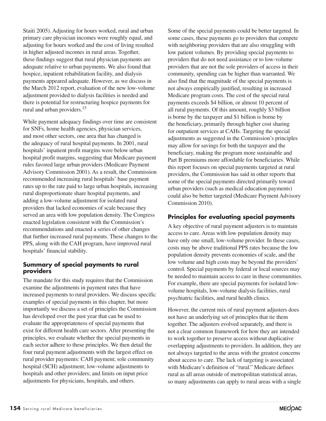Staiti 2005). Adjusting for hours worked, rural and urban primary care physician incomes were roughly equal, and adjusting for hours worked and the cost of living resulted in higher adjusted incomes in rural areas. Together, these findings suggest that rural physician payments are adequate relative to urban payments. We also found that hospice, inpatient rehabilitation facility, and dialysis payments appeared adequate. However, as we discuss in the March 2012 report, evaluation of the new low-volume adjustment provided to dialysis facilities is needed and there is potential for restructuring hospice payments for rural and urban providers.<sup>15</sup>

While payment adequacy findings over time are consistent for SNFs, home health agencies, physician services, and most other sectors, one area that has changed is the adequacy of rural hospital payments. In 2001, rural hospitals' inpatient profit margins were below urban hospital profit margins, suggesting that Medicare payment rules favored large urban providers (Medicare Payment Advisory Commission 2001). As a result, the Commission recommended increasing rural hospitals' base payment rates up to the rate paid to large urban hospitals, increasing rural disproportionate share hospital payments, and adding a low-volume adjustment for isolated rural providers that lacked economies of scale because they served an area with low population density. The Congress enacted legislation consistent with the Commission's recommendations and enacted a series of other changes that further increased rural payments. These changes to the PPS, along with the CAH program, have improved rural hospitals' financial stability.

### **Summary of special payments to rural providers**

The mandate for this study requires that the Commission examine the adjustments in payment rates that have increased payments to rural providers. We discuss specific examples of special payments in this chapter, but more importantly we discuss a set of principles the Commission has developed over the past year that can be used to evaluate the appropriateness of special payments that exist for different health care sectors. After presenting the principles, we evaluate whether the special payments in each sector adhere to these principles. We then detail the four rural payment adjustments with the largest effect on rural provider payments: CAH payment; sole community hospital (SCH) adjustment; low-volume adjustments to hospitals and other providers; and limits on input price adjustments for physicians, hospitals, and others.

Some of the special payments could be better targeted. In some cases, these payments go to providers that compete with neighboring providers that are also struggling with low patient volumes. By providing special payments to providers that do not need assistance or to low-volume providers that are not the sole providers of access in their community, spending can be higher than warranted. We also find that the magnitude of the special payments is not always empirically justified, resulting in increased Medicare program costs. The cost of the special rural payments exceeds \$4 billion, or almost 10 percent of all rural payments. Of this amount, roughly \$3 billion is borne by the taxpayer and \$1 billion is borne by the beneficiary, primarily through higher cost sharing for outpatient services at CAHs. Targeting the special adjustments as suggested in the Commission's principles may allow for savings for both the taxpayer and the beneficiary, making the program more sustainable and Part B premiums more affordable for beneficiaries. While this report focuses on special payments targeted at rural providers, the Commission has said in other reports that some of the special payments directed primarily toward urban providers (such as medical education payments) could also be better targeted (Medicare Payment Advisory Commission 2010).

# **Principles for evaluating special payments**

A key objective of rural payment adjusters is to maintain access to care. Areas with low population density may have only one small, low-volume provider. In these cases, costs may be above traditional PPS rates because the low population density prevents economies of scale, and the low volume and high costs may be beyond the providers' control. Special payments by federal or local sources may be needed to maintain access to care in these communities. For example, there are special payments for isolated lowvolume hospitals, low-volume dialysis facilities, rural psychiatric facilities, and rural health clinics.

However, the current mix of rural payment adjusters does not have an underlying set of principles that tie them together. The adjusters evolved separately, and there is not a clear common framework for how they are intended to work together to preserve access without duplicative overlapping adjustments to providers. In addition, they are not always targeted to the areas with the greatest concerns about access to care. The lack of targeting is associated with Medicare's definition of "rural." Medicare defines rural as all areas outside of metropolitan statistical areas, so many adjustments can apply to rural areas with a single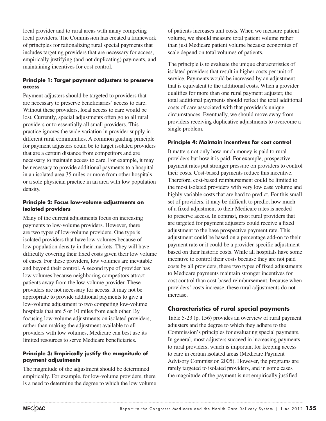local provider and to rural areas with many competing local providers. The Commission has created a framework of principles for rationalizing rural special payments that includes targeting providers that are necessary for access, empirically justifying (and not duplicating) payments, and maintaining incentives for cost control.

### **Principle 1: Target payment adjusters to preserve access**

Payment adjusters should be targeted to providers that are necessary to preserve beneficiaries' access to care. Without these providers, local access to care would be lost. Currently, special adjustments often go to all rural providers or to essentially all small providers. This practice ignores the wide variation in provider supply in different rural communities. A common guiding principle for payment adjusters could be to target isolated providers that are a certain distance from competitors and are necessary to maintain access to care. For example, it may be necessary to provide additional payments to a hospital in an isolated area 35 miles or more from other hospitals or a sole physician practice in an area with low population density.

### **Principle 2: Focus low-volume adjustments on isolated providers**

Many of the current adjustments focus on increasing payments to low-volume providers. However, there are two types of low-volume providers. One type is isolated providers that have low volumes because of low population density in their markets. They will have difficulty covering their fixed costs given their low volume of cases. For these providers, low volumes are inevitable and beyond their control. A second type of provider has low volumes because neighboring competitors attract patients away from the low-volume provider. These providers are not necessary for access. It may not be appropriate to provide additional payments to give a low-volume adjustment to two competing low-volume hospitals that are 5 or 10 miles from each other. By focusing low-volume adjustments on isolated providers, rather than making the adjustment available to all providers with low volumes, Medicare can best use its limited resources to serve Medicare beneficiaries.

### **Principle 3: Empirically justify the magnitude of payment adjustments**

The magnitude of the adjustment should be determined empirically. For example, for low-volume providers, there is a need to determine the degree to which the low volume

of patients increases unit costs. When we measure patient volume, we should measure total patient volume rather than just Medicare patient volume because economies of scale depend on total volumes of patients.

The principle is to evaluate the unique characteristics of isolated providers that result in higher costs per unit of service. Payments would be increased by an adjustment that is equivalent to the additional costs. When a provider qualifies for more than one rural payment adjuster, the total additional payments should reflect the total additional costs of care associated with that provider's unique circumstances. Eventually, we should move away from providers receiving duplicative adjustments to overcome a single problem.

### **Principle 4: Maintain incentives for cost control**

It matters not only how much money is paid to rural providers but how it is paid. For example, prospective payment rates put stronger pressure on providers to control their costs. Cost-based payments reduce this incentive. Therefore, cost-based reimbursement could be limited to the most isolated providers with very low case volume and highly variable costs that are hard to predict. For this small set of providers, it may be difficult to predict how much of a fixed adjustment to their Medicare rates is needed to preserve access. In contrast, most rural providers that are targeted for payment adjusters could receive a fixed adjustment to the base prospective payment rate. This adjustment could be based on a percentage add-on to their payment rate or it could be a provider-specific adjustment based on their historic costs. While all hospitals have some incentive to control their costs because they are not paid costs by all providers, these two types of fixed adjustments to Medicare payments maintain stronger incentives for cost control than cost-based reimbursement, because when providers' costs increase, these rural adjustments do not increase.

### **Characteristics of rural special payments**

Table 5-23 (p. 156) provides an overview of rural payment adjusters and the degree to which they adhere to the Commission's principles for evaluating special payments. In general, most adjusters succeed in increasing payments to rural providers, which is important for keeping access to care in certain isolated areas (Medicare Payment Advisory Commission 2005). However, the programs are rarely targeted to isolated providers, and in some cases the magnitude of the payment is not empirically justified.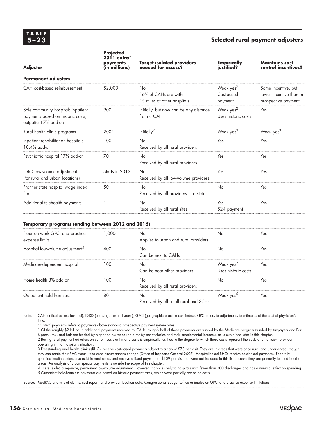### **5–23 Selected rural payment adjusters**

| <b>Adjuster</b>                                                                                 | <b>Projected</b><br>2011 extra*<br>payments<br>(in millions) | <b>Target isolated providers</b><br>needed for access?      | <b>Empirically</b><br>justified?               | <b>Maintains cost</b><br>control incentives?                          |
|-------------------------------------------------------------------------------------------------|--------------------------------------------------------------|-------------------------------------------------------------|------------------------------------------------|-----------------------------------------------------------------------|
| <b>Permanent adjusters</b>                                                                      |                                                              |                                                             |                                                |                                                                       |
| CAH cost-based reimbursement                                                                    | \$2,000'                                                     | No<br>16% of CAHs are within<br>15 miles of other hospitals | Weak yes <sup>2</sup><br>Cost-based<br>payment | Some incentive, but<br>lower incentive than in<br>prospective payment |
| Sole community hospital: inpatient<br>payments based on historic costs,<br>outpatient 7% add-on | 900                                                          | Initially, but now can be any distance<br>from a CAH        | Weak yes <sup>2</sup><br>Uses historic costs   | Yes                                                                   |
| Rural health clinic programs                                                                    | 200 <sup>3</sup>                                             | Initially <sup>2</sup>                                      | Weak yes <sup>3</sup>                          | Weak yes <sup>3</sup>                                                 |
| Inpatient rehabilitation hospitals<br>18.4% add-on                                              | 100                                                          | <b>No</b><br>Received by all rural providers                | Yes                                            | Yes                                                                   |
| Psychiatric hospital 17% add-on                                                                 | 70                                                           | <b>No</b><br>Received by all rural providers                | Yes                                            | Yes                                                                   |
| ESRD low-volume adjustment<br>(for rural and urban locations)                                   | Starts in 2012                                               | <b>No</b><br>Received by all low-volume providers           | Yes                                            | Yes                                                                   |
| Frontier state hospital wage index<br>floor                                                     | 50                                                           | No<br>Received by all providers in a state                  | No                                             | Yes                                                                   |
| Additional telehealth payments                                                                  |                                                              | <b>No</b><br>Received by all rural sites                    | Yes<br>\$24 payment                            | Yes                                                                   |

#### **Temporary programs (ending between 2012 and 2016)**

| Floor on work GPCI and practice<br>expense limits | 1.000 | No<br>Applies to urban and rural providers | Nο                                           | Yes. |
|---------------------------------------------------|-------|--------------------------------------------|----------------------------------------------|------|
| Hospital low-volume adjustment <sup>4</sup>       | 400   | Nο<br>Can be next to CAHs                  | Nο                                           | Yes  |
| Medicare-dependent hospital                       | 100   | No.<br>Can be near other providers         | Weak yes <sup>2</sup><br>Uses historic costs | Yes  |
| Home health 3% add on                             | 100   | Nο<br>Received by all rural providers      | Nο                                           | Yes  |
| Outpatient hold harmless                          | 80    | Nο<br>Received by all small rural and SCHs | Weak ves <sup>5</sup>                        | Yes  |

Note: CAH (critical access hospital), ESRD (end-stage renal disease), GPCI (geographic practice cost index). GPCI refers to adjustments to estimates of the cost of physician's time.

\*"Extra" payments refers to payments above standard prospective payment system rates.

1 Of the roughly \$2 billion in additional payments received by CAHs, roughly half of those payments are funded by the Medicare program (funded by taxpayers and Part B premiums), and half are funded by higher coinsurance (paid for by beneficiaries and their supplemental insurers), as is explained later in this chapter.

2 Basing rural payment adjusters on current costs or historic costs is empirically justified to the degree to which those costs represent the costs of an efficient provider operating in that hospital's situation.

3 Freestanding rural health clinics (RHCs) receive cost-based payments subject to a cap of \$78 per visit. They are in areas that were once rural and underserved, though they can retain their RHC status if the area circumstances change (Office of Inspector General 2005). Hospital-based RHCs receive cost-based payments. Federally qualified health centers also exist in rural areas and receive a fixed payment of \$109 per visit but were not included in this list because they are primarily located in urban areas. An analysis of urban special payments is outside the scope of this chapter.

4 There is also a separate, permanent low-volume adjustment. However, it applies only to hospitals with fewer than 200 discharges and has a minimal effect on spending. 5 Outpatient hold-harmless payments are based on historic payment rates, which were partially based on costs.

Source: MedPAC analysis of claims, cost report, and provider location data. Congressional Budget Office estimates on GPCI and practice expense limitations.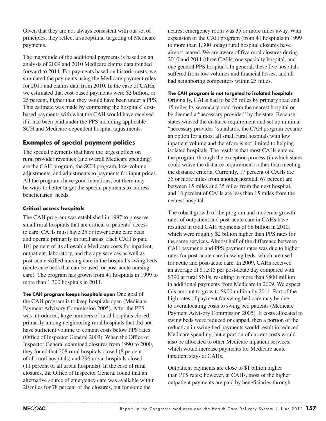Given that they are not always consistent with our set of principles, they reflect a suboptimal targeting of Medicare payments.

The magnitude of the additional payments is based on an analysis of 2009 and 2010 Medicare claims data trended forward to 2011. For payments based on historic costs, we simulated the payments using the Medicare payment rules for 2011 and claims data from 2010. In the case of CAHs, we estimated that cost-based payments were \$2 billion, or 25 percent, higher than they would have been under a PPS. This estimate was made by comparing the hospitals' costbased payments with what the CAH would have received if it had been paid under the PPS including applicable SCH and Medicare-dependent hospital adjustments.

# **Examples of special payment policies**

The special payments that have the largest effect on rural provider revenues (and overall Medicare spending) are the CAH program, the SCH program, low-volume adjustments, and adjustments to payments for input prices. All the programs have good intentions, but there may be ways to better target the special payments to address beneficiaries' needs.

### **Critical access hospitals**

The CAH program was established in 1997 to preserve small rural hospitals that are critical to patients' access to care. CAHs must have 25 or fewer acute care beds and operate primarily in rural areas. Each CAH is paid 101 percent of its allowable Medicare costs for inpatient, outpatient, laboratory, and therapy services as well as post-acute skilled nursing care in the hospital's swing beds (acute care beds that can be used for post-acute nursing care). The program has grown from 41 hospitals in 1999 to more than 1,300 hospitals in 2011.

**The CAH program keeps hospitals open** One goal of the CAH program is to keep hospitals open (Medicare Payment Advisory Commission 2005). After the PPS was introduced, large numbers of rural hospitals closed, primarily among neighboring rural hospitals that did not have sufficient volume to contain costs below PPS rates (Office of Inspector General 2003). When the Office of Inspector General examined closures from 1990 to 2000, they found that 208 rural hospitals closed (8 percent of all rural hospitals) and 296 urban hospitals closed (11 percent of all urban hospitals). In the case of rural closures, the Office of Inspector General found that an alternative source of emergency care was available within 20 miles for 78 percent of the closures, but for some the

nearest emergency room was 35 or more miles away. With expansion of the CAH program (from 41 hospitals in 1999 to more than 1,300 today) rural hospital closures have almost ceased. We are aware of five rural closures during 2010 and 2011 (three CAHs, one specialty hospital, and one general PPS hospital). In general, these five hospitals suffered from low volumes and financial losses, and all had neighboring competitors within 25 miles.

### **The CAH program is not targeted to isolated hospitals**

Originally, CAHs had to be 35 miles by primary road and 15 miles by secondary road from the nearest hospital or be deemed a "necessary provider" by the state. Because states waived the distance requirement and set up minimal "necessary provider" standards, the CAH program became an option for almost all small rural hospitals with low inpatient volume and therefore is not limited to helping isolated hospitals. The result is that most CAHs entered the program through the exception process (in which states could waive the distance requirement) rather than meeting the distance criteria. Currently, 17 percent of CAHs are 35 or more miles from another hospital, 67 percent are between 15 miles and 35 miles from the next hospital, and 16 percent of CAHs are less than 15 miles from the nearest hospital.

The robust growth of the program and moderate growth rates of outpatient and post-acute care in CAHs have resulted in total CAH payments of \$8 billion in 2010, which were roughly \$2 billion higher than PPS rates for the same services. Almost half of the difference between CAH payments and PPS payment rates was due to higher rates for post-acute care in swing beds, which are used for acute and post-acute care. In 2009, CAHs received an average of \$1,315 per post-acute day compared with \$390 at rural SNFs, resulting in more than \$800 million in additional payments from Medicare in 2009. We expect this amount to grow to \$900 million by 2011. Part of the high rates of payment for swing bed care may be due to overallocating costs to swing bed patients (Medicare Payment Advisory Commission 2005). If costs allocated to swing beds were reduced or capped, then a portion of the reduction in swing bed payments would result in reduced Medicare spending, but a portion of current costs would also be allocated to other Medicare inpatient services, which would increase payments for Medicare acute inpatient stays at CAHs.

Outpatient payments are close to \$1 billion higher than PPS rates; however, at CAHs, most of the higher outpatient payments are paid by beneficiaries through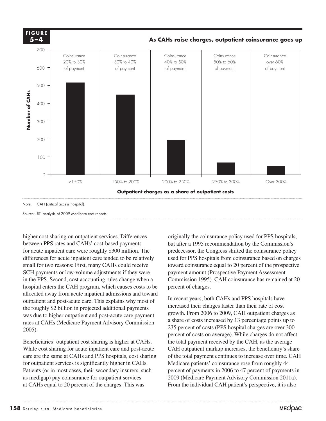

Source: RTI analysis of 2009 Medicare cost reports.

higher cost sharing on outpatient services. Differences between PPS rates and CAHs' cost-based payments for acute inpatient care were roughly \$300 million. The differences for acute inpatient care tended to be relatively small for two reasons: First, many CAHs could receive SCH payments or low-volume adjustments if they were in the PPS. Second, cost accounting rules change when a hospital enters the CAH program, which causes costs to be percent of ch allocated away from acute inpatient admissions and toward In recent years both outpatient and post-acute care. This explains why most of the roughly  $$2$  billion in projected additional payments was due to higher outpatient and post-acute care payment growth. From 2006 to 2009, CAH outpatient charges as rates at CAHs (Medicare Payment Advisory Commission a share of costs increase<br>
235 percent of costs (PI 2005).

Beneficiaries' outpatient cost sharing is higher at CAHs. While cost sharing for acute inpatient care and post-acute while cost sharing for active inputent care and post active C/III care are the same at CAHs and PPS hospitals, cost sharing of the for outpatient services is significantly higher in CAHs. Medicare patients' coinsurance rose f Patients (or in most cases, their secondary insurers, such as medigap) pay coinsurance for outpatient services at CAHs equal to 20 percent of the charges. This was

originally the coinsurance policy used for PPS hospitals, but after a 1995 recommendation by the Commission's predecessor, the Congress shifted the coinsurance policy used for PPS hospitals from coinsurance based on charges toward coinsurance equal to 20 percent of the prospective payment amount (Prospective Payment Assessment Commission 1995). CAH coinsurance has remained at 20 percent of charges.

In recent years, both CAHs and PPS hospitals have increased their charges faster than their rate of cost growth. From 2006 to 2009, CAH outpatient charges as a share of costs increased by 13 percentage points up to 235 percent of costs (PPS hospital charges are over 300 percent of costs on average). While charges do not affect the total payment received by the CAH, as the average CAH outpatient markup increases, the beneficiary's share of the total payment continues to increase over time. CAH Medicare patients' coinsurance rose from roughly 44 percent of payments in 2006 to 47 percent of payments in 2009 (Medicare Payment Advisory Commission 2011a). From the individual CAH patient's perspective, it is also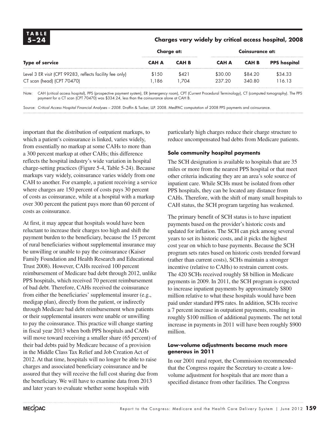| TABLE<br>$5 - 24$                                                                      | Charges vary widely by critical access hospital, 2008 |                |                   |                   |                     |  |
|----------------------------------------------------------------------------------------|-------------------------------------------------------|----------------|-------------------|-------------------|---------------------|--|
|                                                                                        | Charge at:                                            |                | Coinsurance at:   |                   |                     |  |
| Type of service                                                                        | <b>CAH A</b>                                          | <b>CAH B</b>   | <b>CAH A</b>      | <b>CAH B</b>      | <b>PPS</b> hospital |  |
| Level 3 ER visit (CPT 99283, reflects facility fee only)<br>CT scan (head) (CPT 70470) | \$150<br>1.186                                        | \$421<br>1.704 | \$30.00<br>237.20 | \$84.20<br>340.80 | \$34.33<br>116.13   |  |

Note: CAH (critical access hospital), PPS (prospective payment system), ER (emergency room), CPT (Current Procedural Terminology), CT (computed tomography). The PPS payment for a CT scan (CPT 70470) was \$334.24, less than the coinsurance alone at CAH B.

Source: Critical Access Hospital Financial Analyses - 2008. Draffin & Tucker, LLP. 2008. MedPAC computation of 2008 PPS payments and coinsurance.

important that the distribution of outpatient markups, to which a patient's coinsurance is linked, varies widely, from essentially no markup at some CAHs to more than a 300 percent markup at other CAHs; this difference reflects the hospital industry's wide variation in hospital charge-setting practices (Figure 5-4, Table 5-24). Because markups vary widely, coinsurance varies widely from one CAH to another. For example, a patient receiving a service where charges are 150 percent of costs pays 30 percent of costs as coinsurance, while at a hospital with a markup over 300 percent the patient pays more than 60 percent of costs as coinsurance.

At first, it may appear that hospitals would have been reluctant to increase their charges too high and shift the payment burden to the beneficiary, because the 15 percent of rural beneficiaries without supplemental insurance may be unwilling or unable to pay the coinsurance (Kaiser Family Foundation and Health Research and Educational Trust 2008). However, CAHs received 100 percent reimbursement of Medicare bad debt through 2012, unlike PPS hospitals, which received 70 percent reimbursement of bad debt. Therefore, CAHs received the coinsurance from either the beneficiaries' supplemental insurer (e.g., medigap plan), directly from the patient, or indirectly through Medicare bad debt reimbursement when patients or their supplemental insurers were unable or unwilling to pay the coinsurance. This practice will change starting in fiscal year 2013 when both PPS hospitals and CAHs will move toward receiving a smaller share (65 percent) of their bad debts paid by Medicare because of a provision in the Middle Class Tax Relief and Job Creation Act of 2012. At that time, hospitals will no longer be able to raise charges and associated beneficiary coinsurance and be assured that they will receive the full cost sharing due from the beneficiary. We will have to examine data from 2013 and later years to evaluate whether some hospitals with

particularly high charges reduce their charge structure to reduce uncompensated bad debts from Medicare patients.

#### **Sole community hospital payments**

The SCH designation is available to hospitals that are 35 miles or more from the nearest PPS hospital or that meet other criteria indicating they are an area's sole source of inpatient care. While SCHs must be isolated from other PPS hospitals, they can be located any distance from CAHs. Therefore, with the shift of many small hospitals to CAH status, the SCH program targeting has weakened.

The primary benefit of SCH status is to have inpatient payments based on the provider's historic costs and updated for inflation. The SCH can pick among several years to set its historic costs, and it picks the highest cost year on which to base payments. Because the SCH program sets rates based on historic costs trended forward (rather than current costs), SCHs maintain a stronger incentive (relative to CAHs) to restrain current costs. The 420 SCHs received roughly \$8 billion in Medicare payments in 2009. In 2011, the SCH program is expected to increase inpatient payments by approximately \$800 million relative to what these hospitals would have been paid under standard PPS rates. In addition, SCHs receive a 7 percent increase in outpatient payments, resulting in roughly \$100 million of additional payments. The net total increase in payments in 2011 will have been roughly \$900 million.

#### **Low-volume adjustments became much more generous in 2011**

In our 2001 rural report, the Commission recommended that the Congress require the Secretary to create a lowvolume adjustment for hospitals that are more than a specified distance from other facilities. The Congress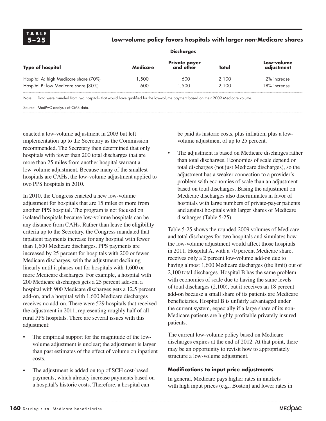### **5–25 Low-volume policy favors hospitals with larger non-Medicare shares**

| <b>Type of hospital</b>               | <b>Medicare</b> | Private payer<br>and other | Total | Low-volume<br>adjustment |  |
|---------------------------------------|-----------------|----------------------------|-------|--------------------------|--|
| Hospital A: high Medicare share (70%) | .500            | 600                        | 2.100 | 2% increase              |  |
| Hospital B: low Medicare share (30%)  | 600             | .500                       | 2.100 | 18% increase             |  |

Note: Data were rounded from two hospitals that would have qualified for the low-volume payment based on their 2009 Medicare volume.

Source: MedPAC analysis of CMS data.

enacted a low-volume adjustment in 2003 but left implementation up to the Secretary as the Commission recommended. The Secretary then determined that only hospitals with fewer than 200 total discharges that are more than 25 miles from another hospital warrant a low-volume adjustment. Because many of the smallest hospitals are CAHs, the low-volume adjustment applied to two PPS hospitals in 2010.

In 2010, the Congress enacted a new low-volume adjustment for hospitals that are 15 miles or more from another PPS hospital. The program is not focused on isolated hospitals because low-volume hospitals can be any distance from CAHs. Rather than leave the eligibility criteria up to the Secretary, the Congress mandated that inpatient payments increase for any hospital with fewer than 1,600 Medicare discharges. PPS payments are increased by 25 percent for hospitals with 200 or fewer Medicare discharges, with the adjustment declining linearly until it phases out for hospitals with 1,600 or more Medicare discharges. For example, a hospital with 200 Medicare discharges gets a 25 percent add-on, a hospital with 900 Medicare discharges gets a 12.5 percent add-on, and a hospital with 1,600 Medicare discharges receives no add-on. There were 529 hospitals that received the adjustment in 2011, representing roughly half of all rural PPS hospitals. There are several issues with this adjustment:

- The empirical support for the magnitude of the lowvolume adjustment is unclear; the adjustment is larger than past estimates of the effect of volume on inpatient costs.
- The adjustment is added on top of SCH cost-based payments, which already increase payments based on a hospital's historic costs. Therefore, a hospital can

be paid its historic costs, plus inflation, plus a lowvolume adjustment of up to 25 percent.

The adjustment is based on Medicare discharges rather than total discharges. Economies of scale depend on total discharges (not just Medicare discharges), so the adjustment has a weaker connection to a provider's problem with economies of scale than an adjustment based on total discharges. Basing the adjustment on Medicare discharges also discriminates in favor of hospitals with large numbers of private-payer patients and against hospitals with larger shares of Medicare discharges (Table 5-25).

Table 5-25 shows the rounded 2009 volumes of Medicare and total discharges for two hospitals and simulates how the low-volume adjustment would affect those hospitals in 2011. Hospital A, with a 70 percent Medicare share, receives only a 2 percent low-volume add-on due to having almost 1,600 Medicare discharges (the limit) out of 2,100 total discharges. Hospital B has the same problem with economies of scale due to having the same levels of total discharges (2,100), but it receives an 18 percent add-on because a small share of its patients are Medicare beneficiaries. Hospital B is unfairly advantaged under the current system, especially if a large share of its non-Medicare patients are highly profitable privately insured patients.

The current low-volume policy based on Medicare discharges expires at the end of 2012. At that point, there may be an opportunity to revisit how to appropriately structure a low-volume adjustment.

#### **Modifications to input price adjustments**

In general, Medicare pays higher rates in markets with high input prices (e.g., Boston) and lower rates in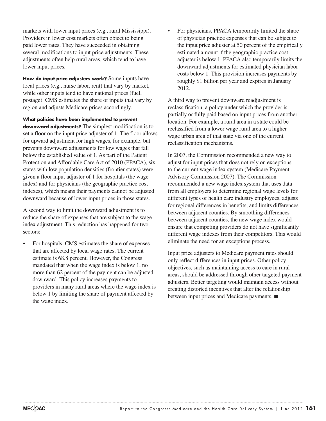markets with lower input prices (e.g., rural Mississippi). Providers in lower cost markets often object to being paid lower rates. They have succeeded in obtaining several modifications to input price adjustments. These adjustments often help rural areas, which tend to have lower input prices.

**How do input price adjusters work?** Some inputs have local prices (e.g., nurse labor, rent) that vary by market, while other inputs tend to have national prices (fuel, postage). CMS estimates the share of inputs that vary by region and adjusts Medicare prices accordingly.

**What policies have been implemented to prevent downward adjustments?** The simplest modification is to set a floor on the input price adjuster of 1. The floor allows for upward adjustment for high wages, for example, but prevents downward adjustments for low wages that fall below the established value of 1. As part of the Patient Protection and Affordable Care Act of 2010 (PPACA), six states with low population densities (frontier states) were given a floor input adjuster of 1 for hospitals (the wage index) and for physicians (the geographic practice cost indexes), which means their payments cannot be adjusted downward because of lower input prices in those states.

A second way to limit the downward adjustment is to reduce the share of expenses that are subject to the wage index adjustment. This reduction has happened for two sectors:

For hospitals, CMS estimates the share of expenses that are affected by local wage rates. The current estimate is 68.8 percent. However, the Congress mandated that when the wage index is below 1, no more than 62 percent of the payment can be adjusted downward. This policy increases payments to providers in many rural areas where the wage index is below 1 by limiting the share of payment affected by the wage index.

For physicians, PPACA temporarily limited the share of physician practice expenses that can be subject to the input price adjuster at 50 percent of the empirically estimated amount if the geographic practice cost adjuster is below 1. PPACA also temporarily limits the downward adjustments for estimated physician labor costs below 1. This provision increases payments by roughly \$1 billion per year and expires in January 2012.

A third way to prevent downward readjustment is reclassification, a policy under which the provider is partially or fully paid based on input prices from another location. For example, a rural area in a state could be reclassified from a lower wage rural area to a higher wage urban area of that state via one of the current reclassification mechanisms.

In 2007, the Commission recommended a new way to adjust for input prices that does not rely on exceptions to the current wage index system (Medicare Payment Advisory Commission 2007). The Commission recommended a new wage index system that uses data from all employers to determine regional wage levels for different types of health care industry employees, adjusts for regional differences in benefits, and limits differences between adjacent counties. By smoothing differences between adjacent counties, the new wage index would ensure that competing providers do not have significantly different wage indexes from their competitors. This would eliminate the need for an exceptions process.

Input price adjusters to Medicare payment rates should only reflect differences in input prices. Other policy objectives, such as maintaining access to care in rural areas, should be addressed through other targeted payment adjusters. Better targeting would maintain access without creating distorted incentives that alter the relationship between input prices and Medicare payments. ■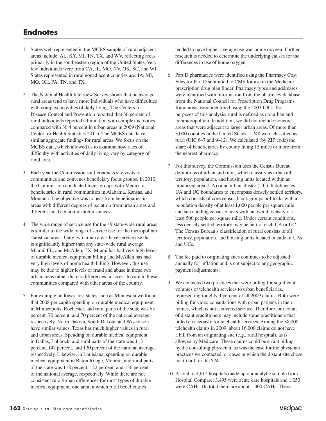# **Endnotes**

- 1 States well represented in the MCBS sample of rural adjacent areas include: AL, KY, MI, TN, TX, and WV, reflecting areas primarily in the southeastern region of the United States. Very few individuals were from CA, IL, MO, NV, OK, SC, and WI. States represented in rural nonadjacent counties are: IA, MI, MO, OH, PA, TN, and TX.
- 2 The National Health Interview Survey shows that on average rural areas tend to have more individuals who have difficulties with complex activities of daily living. The Centers for Disease Control and Prevention reported that 36 percent of rural individuals reported a limitation with complex activities compared with 30.4 percent in urban areas in 2009 (National Center for Health Statistics 2011). The MCBS data have similar aggregate findings for rural areas. We focus on the MCBS data, which allowed us to examine how rates of difficulty with activities of daily living vary by category of rural area.
- 3 Each year the Commission staff conducts site visits to communities and convenes beneficiary focus groups. In 2010, the Commission conducted focus groups with Medicare beneficiaries in rural communities in Alabama, Kansas, and Montana. The objective was to hear from beneficiaries in areas with different degrees of isolation from urban areas and different local economic circumstances.
- 4 The wide range of service use for the 49 state-wide rural areas is similar to the wide range of service use for the metropolitan statistical areas. Only two urban areas have service use that is significantly higher than any state-wide rural average: Miami, FL, and McAllen, TX. Miami has had very high levels of durable medical equipment billing and McAllen has had very high levels of home health billing. However, this use may be due to higher levels of fraud and abuse in these two urban areas rather than to differences in access to care in these communities compared with other areas of the country.
- 5 For example, in lower cost states such as Minnesota we found that 2008 per capita spending on durable medical equipment in Minneapolis, Rochester, and rural parts of the state was 65 percent, 70 percent, and 70 percent of the national average, respectively. North Dakota, South Dakota, and Wisconson have similar values. Texas has much higher values in rural and urban areas. Spending on durable medical equipment in Dallas, Lubbock, and rural parts of the state was 113 percent, 147 percent, and 120 percent of the national average, respectively. Likewise, in Louisiana, spending on durable medical equipment in Baton Rouge, Monroe, and rural parts of the state was 118 percent, 122 percent, and 136 percent of the national average, respectively. While there are not consistent rural/urban differences for most types of durable medical equipment, one area in which rural beneficiaries

tended to have higher average use was home oxygen. Further research is needed to determine the underlying causes for the differences in use of home oxygen.

- 6 Part D pharmacies were identified using the Pharmacy Cost Files for Part D submitted to CMS for use in the Medicare prescription drug plan finder. Pharmacy types and addresses were identified with information from the pharmacy database from the National Council for Prescription Drug Programs. Rural areas were identified using the 2003 UICs. For purposes of this analysis, rural is defined as nonurban and nonmicropolitan. In addition, we did not include noncore areas that were adjacent to larger urban areas. Of more than 3,000 counties in the United States, 1,248 were classified as rural (UIC 6–7 and 9–12). We calculated (by ZIP code) the share of beneficiaries by county living 15 miles or more from the nearest pharmacy.
- 7 For this survey, the Commission uses the Census Bureau definitions of urban and rural, which classify as urban all territory, population, and housing units located within an urbanized area (UA) or an urban cluster (UC). It delineates UA and UC boundaries to encompass densely settled territory, which consists of core census block groups or blocks with a population density of at least 1,000 people per square mile and surrounding census blocks with an overall density of at least 500 people per square mile. Under certain conditions, less densely settled territory may be part of each UA or UC. The Census Bureau's classification of rural consists of all territory, population, and housing units located outside of UAs and UCs.
- 8 The fee paid to originating sites continues to be adjusted annually for inflation and is not subject to any geographic payment adjustments.
- 9 We contacted two practices that were billing for significant volumes of telehealth services to urban beneficiaries, representing roughly 4 percent of all 2009 claims. Both were billing for video consultations with urban patients in their homes, which is not a covered service. Therefore, our count of distant practitioners may include some practitioners that billed erroneously for telehealth services. Among the 38,000 telehealth claims in 2009, about 16,000 claims do not have a bill from an originating site (e.g., rural hospital), as is allowed by Medicare. These claims could be errant billing by the consulting physician, as was the case for the physician practices we contacted, or cases in which the distant site chose not to bill for the \$24.
- 10 A total of 4,612 hospitals made up our analytic sample from Hospital Compare: 3,495 were acute care hospitals and 1,053 were CAHs. (In total there are about 1,300 CAHs. There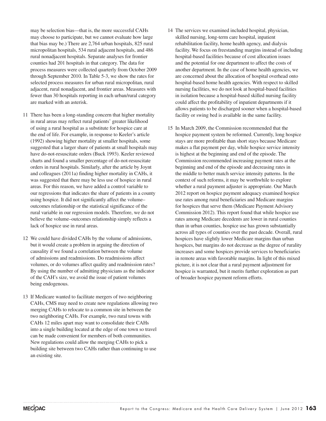may be selection bias—that is, the more successful CAHs may choose to participate, but we cannot evaluate how large that bias may be.) There are 2,764 urban hospitals, 825 rural micropolitan hospitals, 534 rural adjacent hospitals, and 486 rural nonadjacent hospitals. Separate analyses for frontier counties had 201 hospitals in that category. The data for process measures were collected quarterly from October 2009 through September 2010. In Table 5-3, we show the rates for selected process measures for urban rural micropolitan, rural adjacent, rural nonadjacent, and frontier areas. Measures with fewer than 30 hospitals reporting in each urban/rural category are marked with an asterisk.

- 11 There has been a long-standing concern that higher mortality in rural areas may reflect rural patients' greater likelihood of using a rural hospital as a substitute for hospice care at the end of life. For example, in response to Keeler's article (1992) showing higher mortality at smaller hospitals, some suggested that a larger share of patients at small hospitals may have do-not-resuscitate orders (Buck 1993). Keeler reviewed charts and found a smaller percentage of do-not-resuscitate orders in rural hospitals. Similarly, after the article by Joynt and colleagues (2011a) finding higher mortality in CAHs, it was suggested that there may be less use of hospice in rural areas. For this reason, we have added a control variable to our regressions that indicates the share of patients in a county using hospice. It did not significantly affect the volume– outcomes relationship or the statistical significance of the rural variable in our regression models. Therefore, we do not believe the volume–outcomes relationship simply reflects a lack of hospice use in rural areas.
- 12 We could have divided CAHs by the volume of admissions, but it would create a problem in arguing the direction of causality if we found a correlation between the volume of admissions and readmissions. Do readmissions affect volumes, or do volumes affect quality and readmission rates? By using the number of admitting physicians as the indicator of the CAH's size, we avoid the issue of patient volumes being endogenous.
- 13 If Medicare wanted to facilitate mergers of two neighboring CAHs, CMS may need to create new regulations allowing two merging CAHs to relocate to a common site in between the two neighboring CAHs. For example, two rural towns with CAHs 12 miles apart may want to consolidate their CAHs into a single building located at the edge of one town so travel can be made convenient for members of both communities. New regulations could allow the merging CAHs to pick a building site between two CAHs rather than continuing to use an existing site.
- 14 The services we examined included hospital, physician, skilled nursing, long-term care hospital, inpatient rehabilitation facility, home health agency, and dialysis facility. We focus on freestanding margins instead of including hospital-based facilities because of cost allocation issues and the potential for one department to affect the costs of another department. In the case of home health agencies, we are concerned about the allocation of hospital overhead onto hospital-based home health agencies. With respect to skilled nursing facilities, we do not look at hospital-based facilities in isolation because a hospital-based skilled nursing facility could affect the profitability of inpatient departments if it allows patients to be discharged sooner when a hospital-based facility or swing bed is available in the same facility.
- 15 In March 2009, the Commission recommended that the hospice payment system be reformed. Currently, long hospice stays are more profitable than short stays because Medicare makes a flat payment per day, while hospice service intensity is highest at the beginning and end of the episode. The Commission recommended increasing payment rates at the beginning and end of the episode and decreasing rates in the middle to better match service intensity patterns. In the context of such reforms, it may be worthwhile to explore whether a rural payment adjuster is appropriate. Our March 2012 report on hospice payment adequacy examined hospice use rates among rural beneficiaries and Medicare margins for hospices that serve them (Medicare Payment Advisory Commission 2012). This report found that while hospice use rates among Medicare decedents are lower in rural counties than in urban counties, hospice use has grown substantially across all types of counties over the past decade. Overall, rural hospices have slightly lower Medicare margins than urban hospices, but margins do not decrease as the degree of rurality increases and some hospices provide services to beneficiaries in remote areas with favorable margins. In light of this mixed picture, it is not clear that a rural payment adjustment for hospice is warranted, but it merits further exploration as part of broader hospice payment reform efforts.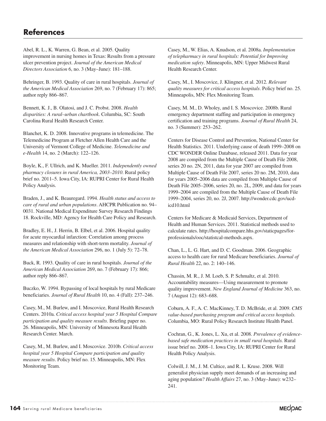# **References**

Abel, R. L., K. Warren, G. Bean, et al. 2005. Quality improvement in nursing homes in Texas: Results from a pressure ulcer prevention project. *Journal of the American Medical Directors Association* 6, no. 3 (May–June): 181–188.

Behringer, B. 1993. Quality of care in rural hospitals. *Journal of the American Medical Association* 269, no. 7 (February 17): 865; author reply 866–867.

Bennett, K. J., B. Olatosi, and J. C. Probst. 2008. *Health disparities: A rural–urban chartbook*. Columbia, SC: South Carolina Rural Health Research Center.

Blanchet, K. D. 2008. Innovative programs in telemedicine. The Telemedicine Program at Fletcher Allen Health Care and the University of Vermont College of Medicine. *Telemedicine and e-Health* 14, no. 2 (March): 122–126.

Boyle, K., F. Ullrich, and K. Mueller. 2011. *Independently owned pharmacy closures in rural America, 2003–2010*. Rural policy brief no. 2011–5. Iowa City, IA: RUPRI Center for Rural Health Policy Analysis.

Braden, J., and K. Beauregard. 1994. *Health status and access to care of rural and urban populations*. AHCPR Publication no. 94– 0031. National Medical Expenditure Survey Research Findings 18. Rockville, MD: Agency for Health Care Policy and Research.

Bradley, E. H., J. Herrin, B. Elbel, et al. 2006. Hospital quality for acute myocardial infarction: Correlation among process measures and relationship with short-term mortality. *Journal of the American Medical Association* 296, no. 1 (July 5): 72–78.

Buck, R. 1993. Quality of care in rural hospitals. *Journal of the American Medical Association* 269, no. 7 (February 17): 866; author reply 866–867.

Buczko, W. 1994. Bypassing of local hospitals by rural Medicare beneficiaries. *Journal of Rural Health* 10, no. 4 (Fall): 237–246.

Casey, M., M. Burlew, and I. Moscovice, Rural Health Research Centers. 2010a. *Critical access hospital year 5 Hospital Compare participation and quality measure results*. Briefing paper no. 26. Minneapolis, MN: University of Minnesota Rural Health Research Center. March.

Casey, M., M. Burlew, and I. Moscovice. 2010b. *Critical access hospital year 5 Hospital Compare participation and quality measure results*. Policy brief no. 15. Minneapolis, MN: Flex Monitoring Team.

Casey, M., W. Elias, A. Knudson, et al. 2008a. *Implementation of telepharmacy in rural hospitals: Potential for Improving medication safety*. Minneapolis, MN: Upper Midwest Rural Health Research Center.

Casey, M., I. Moscovice, J. Klingner, et al. 2012. *Relevant quality measures for critical access hospitals*. Policy brief no. 25. Minneapolis, MN: Flex Monitoring Team.

Casey, M. M., D. Wholey, and I. S. Moscovice. 2008b. Rural emergency department staffing and participation in emergency certification and training programs. *Journal of Rural Health* 24, no. 3 (Summer): 253–262.

Centers for Disease Control and Prevention, National Center for Health Statistics. 2011. Underlying cause of death 1999–2008 on CDC WONDER Online Database, released 2011. Data for year 2008 are compiled from the Multiple Cause of Death File 2008, series 20 no. 2N, 2011, data for year 2007 are compiled from Multiple Cause of Death File 2007, series 20 no. 2M, 2010, data for years 2005–2006 data are compiled from Multiple Cause of Death File 2005–2006, series 20, no. 2L, 2009, and data for years 1999–2004 are compiled from the Multiple Cause of Death File 1999–2004, series 20, no. 2J, 2007. http://wonder.cdc.gov/ucdicd10.html

Centers for Medicare & Medicaid Services, Department of Health and Human Services. 2011. Statistical methods used to calculate rates. http://hospitalcompare.hhs.gov/staticpages/forprofessionals/ooc/statistcal-methods.aspx.

Chan, L., L. G. Hart, and D. C. Goodman. 2006. Geographic access to health care for rural Medicare beneficiaries. *Journal of Rural Health* 22, no. 2: 140–146.

Chassin, M. R., J. M. Loeb, S. P. Schmaltz, et al. 2010. Accountability measures—Using measurement to promote quality improvement. *New England Journal of Medicine* 363, no. 7 (August 12): 683–688.

Coburn, A. F., A. C. MacKinney, T. D. McBride, et al. 2009. *CMS value-based purchasing program and critical access hospitals.* Columbia, MO: Rural Policy Research Institute Health Panel.

Cochran, G., K. Jones, L. Xu, et al. 2008. *Prevalence of evidencebased safe medication practices in small rural hospitals.* Rural issue brief no. 2008–1. Iowa City, IA: RUPRI Center for Rural Health Policy Analysis.

Colwill, J. M., J. M. Cultice, and R. L. Kruse. 2008. Will generalist physician supply meet demands of an increasing and aging population? *Health Affairs* 27, no. 3 (May–June): w232– 241.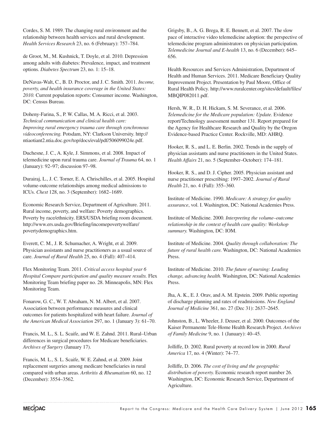Cordes, S. M. 1989. The changing rural environment and the relationship between health services and rural development. *Health Services Research* 23, no. 6 (February): 757–784.

de Groot, M., M. Kushnick, T. Doyle, et al. 2010. Depression among adults with diabetes: Prevalence, impact, and treatment options. *Diabetes Spectrum* 23, no. 1: 15–18.

DeNavas-Walt, C., B. D. Proctor, and J. C. Smith. 2011. *Income, poverty, and health insurance coverage in the United States: 2010.* Current population reports: Consumer income. Washington, DC: Census Bureau.

Doheny-Farina, S., P. W. Callas, M. A. Ricci, et al. 2003. *Technical communication and clinical health care: Improving rural emergency trauma care through synchronous videoconferencing.* Potsdam, NY: Clarkson University. http:// ntiaotiant2.ntia.doc.gov/top/docs/eval/pdf/506099024e.pdf.

Duchesne, J. C., A. Kyle, J. Simmons, et al. 2008. Impact of telemedicine upon rural trauma care. *Journal of Trauma* 64, no. 1 (January): 92–97; discussion 97–98.

Durairaj, L., J. C. Torner, E. A. Chrischilles, et al. 2005. Hospital volume-outcome relationships among medical admissions to ICUs. *Chest* 128, no. 3 (September): 1682–1689.

Economic Research Service, Department of Agriculture. 2011. Rural income, poverty, and welfare: Poverty demographics. Poverty by race/ethnicity. ERS/USDA briefing room document. http://www.ers.usda.gov/Briefing/incomepovertywelfare/ povertydemographics.htm.

Everett, C. M., J. R. Schumacher, A. Wright, et al. 2009. Physician assistants and nurse practitioners as a usual source of care. *Journal of Rural Health* 25, no. 4 (Fall): 407–414.

Flex Monitoring Team. 2011. *Critical access hospital year 6 Hospital Compare participation and quality measure results.* Flex Monitoring Team briefing paper no. 28. Minneapolis, MN: Flex Monitoring Team.

Fonarow, G. C., W. T. Abraham, N. M. Albert, et al. 2007. Association between performance measures and clinical outcomes for patients hospitalized with heart failure. *Journal of the American Medical Association* 297, no. 1 (January 3): 61–70.

Francis, M. L., S. L. Scaife, and W. E. Zahnd. 2011. Rural–Urban differences in surgical procedures for Medicare beneficiaries. *Archives of Surgery* (January 17).

Francis, M. L., S. L. Scaife, W. E. Zahnd, et al. 2009. Joint replacement surgeries among medicare beneficiaries in rural compared with urban areas. *Arthritis & Rheumatism* 60, no. 12 (December): 3554–3562.

Grigsby, B., A. G. Brega, R. E. Bennett, et al. 2007. The slow pace of interactive video telemedicine adoption: the perspective of telemedicine program administrators on physician participation. *Telemedicine Journal and E-health* 13, no. 6 (December): 645– 656.

Health Resources and Services Administration, Department of Health and Human Services. 2011. Medicare Beneficiary Quality Improvement Project. Presentation by Paul Moore, Office of Rural Health Policy. http://www.ruralcenter.org/sites/default/files/ MBQIP082011.pdf.

Hersh, W. R., D. H. Hickam, S. M. Severance, et al. 2006. *Telemedicine for the Medicare population: Update.* Evidence report/Technology assessment number 131. Report prepared for the Agency for Healthcare Research and Quality by the Oregon Evidence-based Practice Center. Rockville, MD: AHRQ.

Hooker, R. S., and L. E. Berlin. 2002. Trends in the supply of physician assistants and nurse practitioners in the United States. *Health Affairs* 21, no. 5 (September–October): 174–181.

Hooker, R. S., and D. J. Cipher. 2005. Physician assistant and nurse practitioner prescribing: 1997–2002. *Journal of Rural Health* 21, no. 4 (Fall): 355–360.

Institute of Medicine. 1990. *Medicare: A strategy for quality assurance*, vol. I. Washington, DC: National Academies Press.

Institute of Medicine. 2000. *Interpreting the volume–outcome relationship in the context of health care quality: Workshop summary.* Washington, DC: IOM.

Institute of Medicine. 2004. *Quality through collaboration: The future of rural health care.* Washington, DC: National Academies Press.

Institute of Medicine. 2010. *The future of nursing: Leading change, advancing health.* Washington, DC: National Academies Press.

Jha, A. K., E. J. Orav, and A. M. Epstein. 2009. Public reporting of discharge planning and rates of readmissions. *New England Journal of Medicine* 361, no. 27 (Dec 31): 2637–2645.

Johnston, B., L. Wheeler, J. Deuser, et al. 2000. Outcomes of the Kaiser Permanente Tele-Home Health Research Project. *Archives of Family Medicine* 9, no. 1 (January): 40–45.

Jolliffe, D. 2002. Rural poverty at record low in 2000. *Rural America* 17, no. 4 (Winter): 74–77.

Jolliffe, D. 2006. *The cost of living and the geographic distribution of poverty.* Economic research report number 26. Washington, DC: Economic Research Service, Department of Agriculture.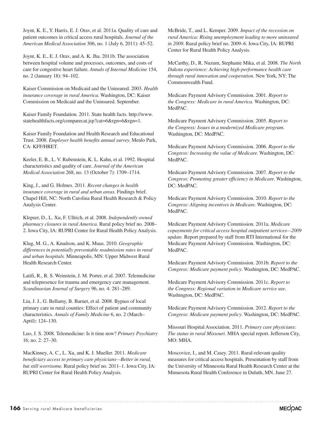Joynt, K. E., Y. Harris, E. J. Orav, et al. 2011a. Quality of care and patient outcomes in critical access rural hospitals. *Journal of the American Medical Association* 306, no. 1 (July 6, 2011): 45–52.

Joynt, K. E., E. J. Orav, and A. K. Jha. 2011b. The association between hospital volume and processes, outcomes, and costs of care for congestive heart failure. *Annals of Internal Medicine* 154, no. 2 (January 18): 94–102.

Kaiser Commission on Medicaid and the Uninsured. 2003. *Health insurance coverage in rural America.* Washington, DC: Kaiser Commission on Medicaid and the Uninsured. September.

Kaiser Family Foundation. 2011. State health facts. http://www. statehealthfacts.org/comparecat.jsp?cat=6&rgn=6&rgn=1.

Kaiser Family Foundation and Health Research and Educational Trust. 2008. *Employer health benefits annual survey.* Menlo Park, CA: KFF/HRET.

Keeler, E. B., L. V. Rubenstein, K. L. Kahn, et al. 1992. Hospital characteristics and quality of care. *Journal of the American Medical Association* 268, no. 13 (October 7): 1709–1714.

King, J., and G. Holmes. 2011. *Recent changes in health insurance coverage in rural and urban areas.* Findings brief. Chapel Hill, NC: North Carolina Rural Health Research & Policy Analysis Center.

Klepser, D., L. Xu, F. Ullrich, et al. 2008. *Independently owned pharmacy closures in rural America.* Rural policy brief no. 2008– 2. Iowa City, IA: RUPRI Center for Rural Health Policy Analysis.

Klug, M. G., A. Knudson, and K. Muus. 2010. *Geographic differences in potentially preventable readmission rates in rural and urban hospitals.* Minneapolis, MN: Upper Midwest Rural Health Research Center.

Latifi, R., R. S. Weinstein, J. M. Porter, et al. 2007. Telemedicine and telepresence for trauma and emergency care management. *Scandinavian Journal of Surgery* 96, no. 4: 281–289.

Liu, J. J., G. Bellamy, B. Barnet, et al. 2008. Bypass of local primary care in rural counties: Effect of patient and community characteristics. *Annals of Family Medicine* 6, no. 2 (March– April): 124–130.

Luo, J. S. 2008. Telemedicine: Is it time now? *Primary Psychiatry* 16, no. 2: 27–30.

MacKinney, A. C., L. Xu, and K. J. Mueller. 2011. *Medicare beneficiary access to primary care physicians—Better in rural, but still worrisome.* Rural policy brief no. 2011–1. Iowa City, IA: RUPRI Center for Rural Health Policy Analysis.

McBride, T., and L. Kemper. 2009. *Impact of the recession on rural America: Rising unemployment leading to more uninsured in 2009.* Rural policy brief no. 2009–6. Iowa City, IA: RUPRI Center for Rural Health Policy Analysis.

McCarthy, D., R. Nuzum, Stephanie Mika, et al. 2008. *The North Dakota experience: Achieving high-performance health care through rural innovation and cooperation.* New York, NY: The Commonwealth Fund.

Medicare Payment Advisory Commission. 2001. *Report to the Congress: Medicare in rural America.* Washington, DC: MedPAC.

Medicare Payment Advisory Commission. 2005. *Report to the Congress: Issues in a modernized Medicare program.*  Washington, DC: MedPAC.

Medicare Payment Advisory Commission. 2006. *Report to the Congress: Increasing the value of Medicare.* Washington, DC: MedPAC.

Medicare Payment Advisory Commission. 2007. *Report to the Congress: Promoting greater efficiency in Medicare*. Washington, DC: MedPAC.

Medicare Payment Advisory Commission. 2010. *Report to the Congress: Aligning incentives in Medicare*. Washington, DC: MedPAC.

Medicare Payment Advisory Commission. 2011a. *Medicare copayments for critical access hospital outpatient services—2009 update*. Report prepared by staff from RTI International for the Medicare Payment Advisory Commission. Washington, DC: MedPAC.

Medicare Payment Advisory Commission. 2011b. *Report to the Congress: Medicare payment policy*. Washington, DC: MedPAC.

Medicare Payment Advisory Commission. 2011c. *Report to the Congress: Regional variation in Medicare service use*. Washington, DC: MedPAC.

Medicare Payment Advisory Commission. 2012. *Report to the Congress: Medicare payment policy*. Washington, DC: MedPAC.

Missouri Hospital Association. 2011. *Primary care physicians: The status in rural Missouri*. MHA special report. Jefferson City, MO: MHA.

Moscovice, I., and M. Casey. 2011. Rural-relevant quality measures for critical access hospitals. Presentation by staff from the University of Minnesota Rural Health Research Center at the Minnesota Rural Health Conference in Duluth, MN. June 27.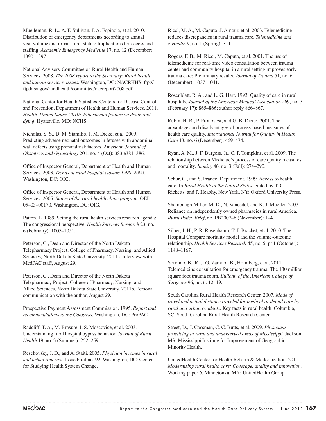Muelleman, R. L., A. F. Sullivan, J. A. Espinola, et al. 2010. Distribution of emergency departments according to annual visit volume and urban–rural status: Implications for access and staffing. *Academic Emergency Medicine* 17, no. 12 (December): 1390–1397.

National Advisory Committee on Rural Health and Human Services. 2008. *The 2008 report to the Secretary: Rural health and human services .issues.* Washington, DC: NACRHHS. ftp:// ftp.hrsa.gov/ruralhealth/committee/nacreport2008.pdf.

National Center for Health Statistics, Centers for Disease Control and Prevention, Department of Health and Human Services. 2011. *Health, United States, 2010: With special feature on death and dying*. Hyattsville, MD: NCHS.

Nicholas, S. S., D. M. Stamilio, J. M. Dicke, et al. 2009. Predicting adverse neonatal outcomes in fetuses with abdominal wall defects using prenatal risk factors. *American Journal of Obstetrics and Gynecology* 201, no. 4 (Oct): 383 e381–386.

Office of Inspector General, Department of Health and Human Services. 2003. *Trends in rural hospital closure 1990–2000.*  Washington, DC: OIG.

Office of Inspector General, Department of Health and Human Services. 2005. *Status of the rural health clinic program.* OEI– 05–03–00170. Washington, DC: OIG.

Patton, L. 1989. Setting the rural health services research agenda: The congressional perspective. *Health Services Research* 23, no. 6 (February): 1005–1051.

Peterson, C., Dean and Director of the North Dakota Telepharmacy Project, College of Pharmacy, Nursing, and Allied Sciences, North Dakota State University. 2011a. Interview with MedPAC staff, August 29.

Peterson, C., Dean and Director of the North Dakota Telepharmacy Project, College of Pharmacy, Nursing, and Allied Sciences, North Dakota State University. 2011b. Personal communication with the author, August 29.

Prospective Payment Assessment Commission. 1995. *Report and recommendations to the Congress.* Washington, DC: ProPAC.

Radcliff, T. A., M. Brasure, I. S. Moscovice, et al. 2003. Understanding rural hospital bypass behavior. *Journal of Rural Health* 19, no. 3 (Summer): 252–259.

Reschovsky, J. D., and A. Staiti. 2005. *Physician incomes in rural and urban America.* Issue brief no. 92. Washington, DC: Center for Studying Health System Change.

Ricci, M. A., M. Caputo, J. Amour, et al. 2003. Telemedicine reduces discrepancies in rural trauma care. *Telemedicine and e-Health* 9, no. 1 (Spring): 3–11.

Rogers, F. B., M. Ricci, M. Caputo, et al. 2001. The use of telemedicine for real-time video consultation between trauma center and community hospital in a rural setting improves early trauma care: Preliminary results. *Journal of Trauma* 51, no. 6 (December): 1037–1041.

Rosenblatt, R. A., and L. G. Hart. 1993. Quality of care in rural hospitals. *Journal of the American Medical Association* 269, no. 7 (February 17): 865–866; author reply 866–867.

Rubin, H. R., P. Pronovost, and G. B. Diette. 2001. The advantages and disadvantages of process-based measures of health care quality. *International Journal for Quality in Health Care* 13, no. 6 (December): 469–474.

Ryan, A. M., J. F. Burgess, Jr., C. P. Tompkins, et al. 2009. The relationship between Medicare's process of care quality measures and mortality. *Inquiry* 46, no. 3 (Fall): 274–290.

Schur, C., and S. Franco, Department. 1999. Access to health care. In *Rural Health in the United States*, edited by T. C. Ricketts, and P. Heaphy. New York, NY: Oxford University Press.

Shambaugh-Miller, M. D., N. Vanosdel, and K. J. Mueller. 2007. Reliance on independently owned pharmacies in rural America. *Rural Policy Brief*, no. PB2007–6 (November): 1–4.

Silber, J. H., P. R. Rosenbaum, T. J. Brachet, et al. 2010. The Hospital Compare mortality model and the volume-outcome relationship. *Health Services Research* 45, no. 5, pt 1 (October): 1148–1167.

Sorondo, B., R. J. G. Zamora, B., Holmberg, et al. 2011. Telemedicine consultation for emergency trauma: The 130 million square foot trauma room. *Bulletin of the American College of Surgeons* 96, no. 6: 12–19.

South Carolina Rural Health Research Center. 2007. *Mode of travel and actual distance traveled for medical or dental care by rural and urban residents.* Key facts in rural health. Columbia, SC: South Carolina Rural Health Research Center.

Street, D., J. Cossman, C. C. Butts, et al. 2009. *Physicians practicing in rural and underserved areas of Mississippi.* Jackson, MS: Mississippi Institute for Improvement of Geographic Minority Health.

UnitedHealth Center for Health Reform & Modernization. 2011. *Modernizing rural health care: Coverage, quality and innovation.* Working paper 6. Minnetonka, MN: UnitedHealth Group.